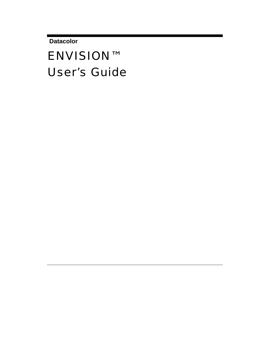**Datacolor** 

# ENVISION™ User's Guide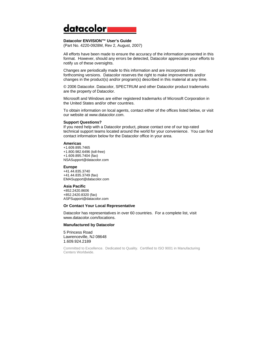# datacolor

#### **Datacolor ENVISION™ User's Guide**

(Part No. 4220-0928M, Rev 2, August, 2007)

All efforts have been made to ensure the accuracy of the information presented in this format. However, should any errors be detected, Datacolor appreciates your efforts to notify us of these oversights.

Changes are periodically made to this information and are incorporated into forthcoming versions. Datacolor reserves the right to make improvements and/or changes in the product(s) and/or program(s) described in this material at any time.

© 2006 Datacolor. Datacolor, SPECTRUM and other Datacolor product trademarks are the property of Datacolor.

Microsoft and Windows are either registered trademarks of Microsoft Corporation in the United States and/or other countries.

To obtain information on local agents, contact either of the offices listed below, or visit our website at www.datacolor.com.

#### **Support Questions?**

If you need help with a Datacolor product, please contact one of our top-rated technical support teams located around the world for your convenience. You can find contact information below for the Datacolor office in your area.

#### **Americas**

+1.609.895.7465 +1.800.982.6496 (toll-free) +1.609.895.7404 (fax) NSASupport@datacolor.com

#### **Europe**

+41.44.835.3740 +41.44.835.3749 (fax) EMASupport@datacolor.com

#### **Asia Pacific**

+852.2420.8606 +852.2420.8320 (fax) ASPSupport@datacolor.com

#### **Or Contact Your Local Representative**

Datacolor has representatives in over 60 countries. For a complete list, visit www.datacolor.com/locations.

#### **Manufactured by Datacolor**

5 Princess Road Lawrenceville, NJ 08648 1.609.924.2189

Committed to Excellence. Dedicated to Quality. Certified to ISO 9001 in Manufacturing Centers Worldwide.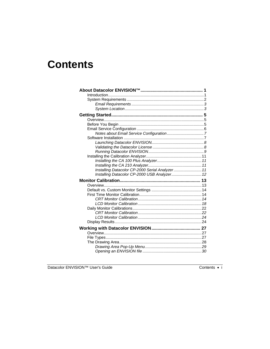# **Contents**

| Installing Datacolor CP-2000 Serial Analyzer 11 |  |
|-------------------------------------------------|--|
|                                                 |  |
| Installing Datacolor CP-2000 USB Analyzer 12    |  |
|                                                 |  |
|                                                 |  |
|                                                 |  |
|                                                 |  |
|                                                 |  |
|                                                 |  |
|                                                 |  |
|                                                 |  |
|                                                 |  |
|                                                 |  |
|                                                 |  |
|                                                 |  |
|                                                 |  |
|                                                 |  |
|                                                 |  |

Datacolor ENVISION™ User's Guide

Contents  $\bullet$  i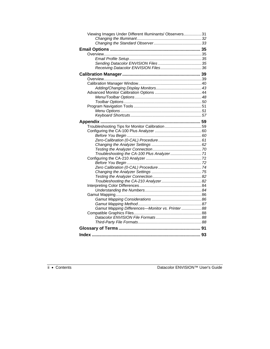| Viewing Images Under Different Illuminants/ Observers31 |  |
|---------------------------------------------------------|--|
|                                                         |  |
|                                                         |  |
|                                                         |  |
|                                                         |  |
|                                                         |  |
|                                                         |  |
|                                                         |  |
|                                                         |  |
|                                                         |  |
|                                                         |  |
|                                                         |  |
|                                                         |  |
|                                                         |  |
|                                                         |  |
|                                                         |  |
|                                                         |  |
|                                                         |  |
|                                                         |  |
|                                                         |  |
| Troubleshooting Tips for Monitor Calibration59          |  |
|                                                         |  |
|                                                         |  |
|                                                         |  |
|                                                         |  |
|                                                         |  |
|                                                         |  |
|                                                         |  |
|                                                         |  |
|                                                         |  |
|                                                         |  |
|                                                         |  |
|                                                         |  |
|                                                         |  |
|                                                         |  |
|                                                         |  |
|                                                         |  |
|                                                         |  |
| Gamut Mapping Differences-Monitor vs. Printer 88        |  |
|                                                         |  |
|                                                         |  |
|                                                         |  |
|                                                         |  |
|                                                         |  |
|                                                         |  |

ii • Contents Datacolor ENVISION™ User's Guide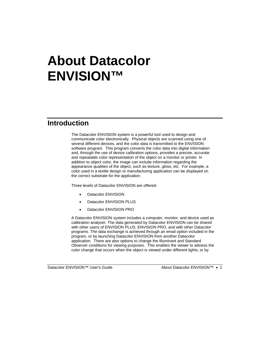# **About Datacolor ENVISION™**

#### **Introduction**

The Datacolor ENVISION system is a powerful tool used to design and communicate color electronically. Physical objects are scanned using one of several different devices, and the color data is transmitted to the ENVISION software program. This program converts the color data into digital information and, through the use of device calibration options, provides a precise, accurate and repeatable color representation of the object on a monitor or printer. In addition to object color, the image can include information regarding the appearance qualities of the object, such as texture, gloss, etc. For example, a color used in a textile design or manufacturing application can be displayed on the correct substrate for the application.

Three levels of Datacolor ENVISION are offered:

- Datacolor ENVISION
- Datacolor ENVISION PLUS
- Datacolor ENVISION PRO

A Datacolor ENVISION system includes a computer, monitor, and device used as calibration analyzer. The data generated by Datacolor ENVISION can be shared with other users of ENVISION PLUS, ENVISION PRO, and with other Datacolor programs. The data exchange is achieved through an email option included in the program, or by launching Datacolor ENVISION from another Datacolor application. There are also options to change the Illuminant and Standard Observer conditions for viewing purposes. This enables the viewer to witness the color change that occurs when the object is viewed under different lights, or by

Datacolor ENVISION™ User's Guide About Datacolor ENVISION™ • 1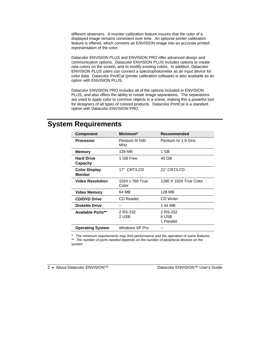different observers. A monitor calibration feature insures that the color of a displayed image remains consistent over time. An optional printer calibration feature is offered, which converts an ENVISION image into an accurate printed representation of the color.

Datacolor ENVISION PLUS and ENVISION PRO offer advanced design and communication options. Datacolor ENVISION PLUS includes options to create new colors on the screen, and to modify existing colors. In addition, Datacolor ENVISION PLUS users can connect a spectrophotometer as an input device for color data. Datacolor PrintCal (printer calibration software) is also available as an option with ENVISION PLUS.

Datacolor ENVISION PRO includes all of the options included in ENVISION PLUS, and also offers the ability to create image separations. The separations are used to apply color to common objects in a scene, making this a powerful tool for designers of all types of colored products. Datacolor PrintCal is a standard option with Datacolor ENVISION PRO.

### **System Requirements**

| <b>Component</b>                       | Minimum*                           | Recommended                     |
|----------------------------------------|------------------------------------|---------------------------------|
| <b>Processor</b>                       | Pentium III 500<br>MH <sub>7</sub> | Pentium IV 1.9 GHz              |
| <b>Memory</b>                          | 128 MB                             | 1 GB                            |
| <b>Hard Drive</b><br>Capacity          | 1 GB Free                          | 40 GB                           |
| <b>Color Display</b><br><b>Monitor</b> | 17" CRT/LCD                        | 21" CRT/LCD                     |
| <b>Video Resolution</b>                | 1024 x 768 True<br>Color           | 1280 X 1024 True Color          |
| <b>Video Memory</b>                    | 64 MB                              | 128 MB                          |
| <b>CD/DVD Drive</b>                    | CD Reader                          | <b>CD</b> Writer                |
| <b>Diskette Drive</b>                  |                                    | 1.44 MB                         |
| <b>Available Ports**</b>               | 2 RS-232<br>2 USB                  | 2 RS-232<br>6 USB<br>1 Parallel |
| <b>Operating System</b>                | Windows XP Pro                     |                                 |

*\* The minimum requirements may limit performance and the operation of some features \*\* The number of ports needed depends on the number of peripheral devices on the system.* 

2 • About Datacolor ENVISION™ Datacolor ENVISION™ User's Guide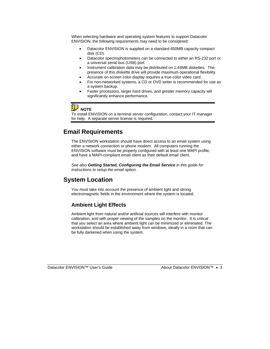When selecting hardware and operating system features to support Datacolor ENVISION, the following requirements may need to be considered:

- Datacolor ENVISION is supplied on a standard 650MB capacity compact disk (CD).
- Datacolor spectrophotometers can be connected to either an RS-232 port or a universal serial bus (USB) port.
- Instrument calibration data may be distributed on 1.44MB diskettes. The presence of this diskette drive will provide maximum operational flexibility.
- Accurate on-screen color display requires a true-color video card.
- For non-networked systems, a CD or DVD writer is recommended for use as a system backup.
- Faster processors, larger hard drives, and greater memory capacity will significantly enhance performance.

**D** NOTE

To install ENVISION on a terminal server configuration, contact your IT manager for help. A separate server license is required.

#### **Email Requirements**

The ENVISION workstation should have direct access to an email system using either a network connection or phone modem. All computers running the ENVISION software must be properly configured with at least one MAPI profile, and have a MAPI-compliant email client as their default email client.

*See also Getting Started, Configuring the Email Service in this guide for instructions to setup the email option.* 

#### **System Location**

You must take into account the presence of ambient light and strong electromagnetic fields in the environment where the system is located.

#### **Ambient Light Effects**

Ambient light from natural and/or artificial sources will interfere with monitor calibration, and with proper viewing of the samples on the monitor. It is critical that you select an area where ambient light can be minimized or eliminated. The workstation should be established away from windows, ideally in a room that can be fully darkened when using the system.

Datacolor ENVISION™ User's Guide About Datacolor ENVISION™ • 3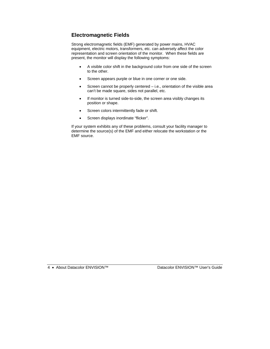#### **Electromagnetic Fields**

Strong electromagnetic fields (EMF) generated by power mains, HVAC equipment, electric motors, transformers, etc. can adversely affect the color representation and screen orientation of the monitor. When these fields are present, the monitor will display the following symptoms:

- A visible color shift in the background color from one side of the screen to the other.
- Screen appears purple or blue in one corner or one side.
- Screen cannot be properly centered i.e., orientation of the visible area can't be made square, sides not parallel, etc.
- If monitor is turned side-to-side, the screen area visibly changes its position or shape.
- Screen colors intermittently fade or shift.
- Screen displays inordinate "flicker".

If your system exhibits any of these problems, consult your facility manager to determine the source(s) of the EMF and either relocate the workstation or the EMF source.

4 • About Datacolor ENVISION™ Datacolor ENVISION™ User's Guide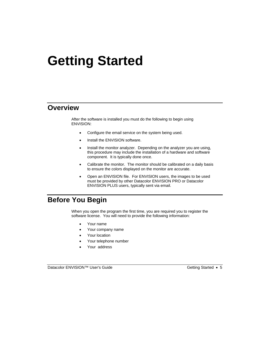# **Getting Started**

#### **Overview**

After the software is installed you must do the following to begin using ENVISION:

- Configure the email service on the system being used.
- Install the ENVISION software.
- Install the monitor analyzer. Depending on the analyzer you are using, this procedure may include the installation of a hardware and software component. It is typically done once.
- Calibrate the monitor. The monitor should be calibrated on a daily basis to ensure the colors displayed on the monitor are accurate.
- Open an ENVISION file. For ENVISION users, the images to be used must be provided by other Datacolor ENVISION PRO or Datacolor ENVISION PLUS users, typically sent via email.

## **Before You Begin**

When you open the program the first time, you are required you to register the software license. You will need to provide the following information:

- Your name
- Your company name
- Your location
- Your telephone number
- Your address

Datacolor ENVISION™ User's Guide Getting Started • 5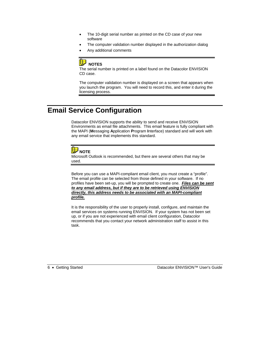- The 10-digit serial number as printed on the CD case of your new software
- The computer validation number displayed in the authorization dialog
- Any additional comments

#### ų **NOTES**

The serial number is printed on a label found on the Datacolor ENVISION CD case.

The computer validation number is displayed on a screen that appears when you launch the program. You will need to record this, and enter it during the licensing process.

# **Email Service Configuration**

Datacolor ENVISION supports the ability to send and receive ENVISION Environments as email file attachments. This email feature is fully compliant with the MAPI (**M**essaging **A**pplication **P**rogram **I**nterface) standard and will work with any email service that implements this standard.



Microsoft Outlook is recommended, but there are several others that may be used.

Before you can use a MAPI-compliant email client, you must create a "profile". The email profile can be selected from those defined in your software. If no profiles have been set-up, you will be prompted to create one. *Files can be sent to any email address, but if they are to be retrieved using ENVISION directly, this address needs to be associated with an MAPI-compliant profile.* 

It is the responsibility of the user to properly install, configure, and maintain the email services on systems running ENVISION. If your system has not been set up, or if you are not experienced with email client configuration, Datacolor recommends that you contact your network administration staff to assist in this task.

6 • Getting Started Datacolor ENVISION™ User's Guide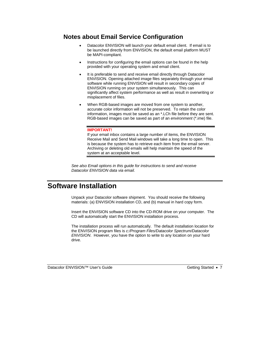#### **Notes about Email Service Configuration**

- Datacolor ENVISION will launch your default email client. If email is to be launched directly from ENVISION, the default email platform MUST be MAPI-compliant.
- Instructions for configuring the email options can be found in the help provided with your operating system and email client.
- It is preferable to send and receive email directly through Datacolor ENVISION. Opening attached image files separately through your email software while running ENVISION will result in secondary copies of ENVISION running on your system simultaneously. This can significantly affect system performance as well as result in overwriting or misplacement of files.
- When RGB-based images are moved from one system to another, accurate color information will not be preserved. To retain the color information, images must be saved as an \*.LCh file before they are sent. RGB-based images can be saved as part of an *environment* (\*.ime) file.

#### **IMPORTANT!**

If your email inbox contains a large number of items, the ENVISION Receive Mail and Send Mail windows will take a long time to open. This is because the system has to retrieve each item from the email server. Archiving or deleting old emails will help maintain the speed of the system at an acceptable level.

*See also Email options in this guide for instructions to send and receive Datacolor ENVISION data via email.* 

#### **Software Installation**

Unpack your Datacolor software shipment. You should receive the following materials: (a) ENVISION installation CD, and (b) manual in hard copy form.

Insert the ENVISION software CD into the CD-ROM drive on your computer. The CD will automatically start the ENVISION installation process.

The installation process will run automatically. The default installation location for the ENVISION program files is *c:/Program Files/Datacolor Spectrum/Datacolor ENVISION*. However, you have the option to write to any location on your hard drive.

Datacolor ENVISION™ User's Guide Getting Started • 7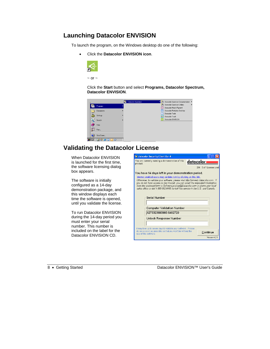#### **Launching Datacolor ENVISION**

To launch the program, on the Windows desktop do one of the following:

• Click the **Datacolor ENVISION icon**.



Click the **Start** button and select **Programs, Datacolor Spectrum, Datacolor ENVISION**.



# **Validating the Datacolor License**

| When Datacolor ENVISION                                                           | al datacolor Security Client Ver 4                                                                                                                                                                                                                                                                                                                                                                            |
|-----------------------------------------------------------------------------------|---------------------------------------------------------------------------------------------------------------------------------------------------------------------------------------------------------------------------------------------------------------------------------------------------------------------------------------------------------------------------------------------------------------|
| is launched for the first time,                                                   | You are currently running a demonstration of this<br>datacolori<br>product.                                                                                                                                                                                                                                                                                                                                   |
| the software licensing dialog<br>box appears.                                     | 264: 0 of 1 Licenses used                                                                                                                                                                                                                                                                                                                                                                                     |
|                                                                                   | You have 14 days left in your demonstration period.                                                                                                                                                                                                                                                                                                                                                           |
| The software is initially<br>configured as a 14-day<br>demonstration package, and | Internet enabled users may validate now by clicking on this link.<br>Otherwise, to validate your software, please visit http://pmweb.datacolor.com. If<br>you do not have access to the internet, you can email the requested information<br>from the enclosed form to SoftwareLicense@Datacolor.com or phone your local<br>sales office or dial 1-800-982-6496 for toll free service in the U.S. and Canada. |
| this window displays each<br>time the software is opened,                         | Serial Number                                                                                                                                                                                                                                                                                                                                                                                                 |
| until you validate the license.                                                   |                                                                                                                                                                                                                                                                                                                                                                                                               |
|                                                                                   | <b>Computer Validation Number</b>                                                                                                                                                                                                                                                                                                                                                                             |
| To run Datacolor ENVISION                                                         | A273323693993-5402720                                                                                                                                                                                                                                                                                                                                                                                         |
| during the 14-day period you                                                      | Unlock Response Number                                                                                                                                                                                                                                                                                                                                                                                        |
| must enter your serial                                                            |                                                                                                                                                                                                                                                                                                                                                                                                               |
| number. This number is                                                            | It may take up to seven days to validate your software. Please                                                                                                                                                                                                                                                                                                                                                |
| included on the label for the<br>Datacolor ENVISION CD.                           | do so as soon as possible so that you won't be without the<br>Continue<br>use of this software.                                                                                                                                                                                                                                                                                                               |
|                                                                                   | Version 4.2.1                                                                                                                                                                                                                                                                                                                                                                                                 |

8 • Getting Started Datacolor ENVISION™ User's Guide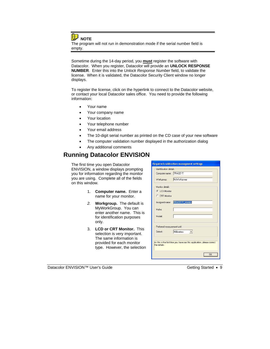**NOTE** 

The program will not run in demonstration mode if the serial number field is empty.

Sometime during the 14-day period, you **must** register the software with Datacolor. When you register, Datacolor will provide an **UNLOCK RESPONSE NUMBER**. Enter this into the *Unlock Response Number* field, to validate the license. When it is validated, the Datacolor Security Client window no longer displays.

To register the license, click on the hyperlink to connect to the Datacolor website, or contact your local Datacolor sales office. You need to provide the following information:

- Your name
- Your company name
- Your location
- Your telephone number
- Your email address
- The 10-digit serial number as printed on the CD case of your new software
- The computer validation number displayed in the authorization dialog
- Any additional comments

#### **Running Datacolor ENVISION**

The first time you open Datacolor ENVISION, a window displays prompting you for information regarding the monitor you are using. Complete all of the fields on this window.

- 1. **Computer name.** Enter a name for your monitor.
- *2.* **Workgroup.** The default is MyWorkGroup. You can enter another name. This is for identification purposes only.
- 3. **LCD or CRT Monitor.** This selection is very important. The same information is provided for each monitor type. However, the selection

|                            | <b>Required calibration managment settings</b>                          |
|----------------------------|-------------------------------------------------------------------------|
| Identification details     |                                                                         |
| Computer name:             | TRACEYT                                                                 |
| Workgroup:                 | MyWorkgroup                                                             |
| Monitor details            |                                                                         |
| C LCD Monitor              |                                                                         |
| C CBT Monitor              |                                                                         |
| Assigned name:             | TRACEYT_Monitor                                                         |
| Make:                      |                                                                         |
| Model:                     |                                                                         |
| Preferred measurement unit |                                                                         |
| Selecti                    | Millimeters                                                             |
|                            |                                                                         |
| the details.               | As this is the first time you have run this application, please correct |
|                            | <b>OK</b>                                                               |

Datacolor ENVISION™ User's Guide Getting Started • 9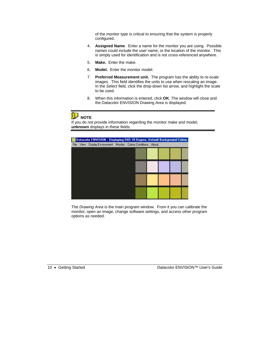of the monitor type is critical to ensuring that the system is properly configured.

- 4. **Assigned Name**. Enter a name for the monitor you are using. Possible names could include the user name, or the location of the monitor. This is simply used for identification and is not cross-referenced anywhere.
- 5. **Make.** Enter the make.
- 6. **Model.** Enter the monitor model.
- 7. **Preferred Measurement unit.** The program has the ability to re-scale images. This field identifies the units to use when rescaling an image. In the *Select* field, click the drop-down list arrow, and highlight the scale to be used.
- 8. When this information is entered, click **OK**. The window will close and the Datacolor ENVISION Drawing Area is displayed.

### **D** NOTE

If you do not provide information regarding the monitor make and model, **unknown** displays in these fields.



The *Drawing Area* is the main program window. From it you can calibrate the monitor, open an image, change software settings, and access other program options as needed.

10 • Getting Started Datacolor ENVISION™ User's Guide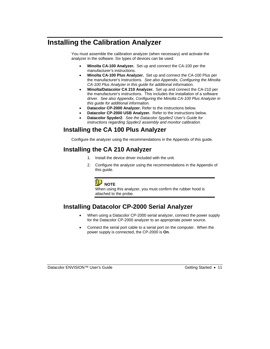## **Installing the Calibration Analyzer**

You must assemble the calibration analyzer (when necessary) and activate the analyzer in the software. Six types of devices can be used:

- **Minolta CA-100 Analyzer.** Set up and connect the CA-100 per the manufacturer's instructions.
- **Minolta CA-100 Plus Analyzer.** Set up and connect the CA-100 Plus per the manufacturer's instructions. *See also Appendix, Configuring the Minolta CA-100 Plus Analyzer in this guide for additional information.*
- **Minolta/Datacolor CA 210 Analyzer.** Set up and connect the CA-210 per the manufacturer's instructions. This includes the installation of a software driver. *See also Appendix, Configuring the Minolta CA-100 Plus Analyzer in this guide for additional information.*
- **Datacolor CP-2000 Analyzer.** Refer to the instructions below.
- **Datacolor CP-2000 USB Analyzer.** Refer to the instructions below.
- **Datacolor Spyder2**. *See the Datacolor Spyder2 User's Guide for instructions regarding Spyder2 assembly and monitor calibration.*

#### **Installing the CA 100 Plus Analyzer**

Configure the analyzer using the recommendations in the Appendix of this guide.

#### **Installing the CA 210 Analyzer**

- 1. Install the device driver included with the unit.
- 2. Configure the analyzer using the recommendations in the Appendix of this guide.



When using this analyzer, you must confirm the rubber hood is attached to the probe.

#### **Installing Datacolor CP-2000 Serial Analyzer**

- When using a Datacolor CP-2000 serial analyzer, connect the power supply for the Datacolor CP-2000 analyzer to an appropriate power source.
- Connect the serial port cable to a serial port on the computer. When the power supply is connected, the CP-2000 is **On**.

Datacolor ENVISION™ User's Guide Getting Started • 11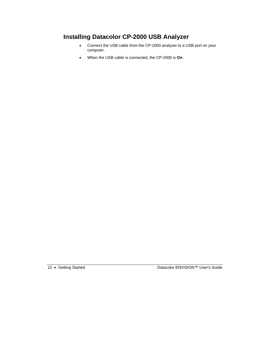#### **Installing Datacolor CP-2000 USB Analyzer**

- Connect the USB cable from the CP-2000 analyzer to a USB port on your computer.
- When the USB cable is connected, the CP-2000 is **On**.

12 • Getting Started Datacolor ENVISION™ User's Guide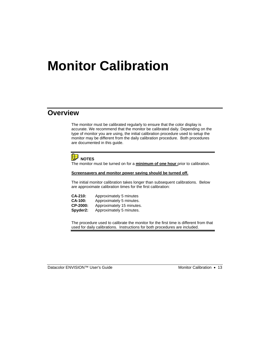# **Monitor Calibration**

#### **Overview**

The monitor must be calibrated regularly to ensure that the color display is accurate. We recommend that the monitor be calibrated daily. Depending on the type of monitor you are using, the initial calibration procedure used to setup the monitor may be different from the daily calibration procedure. Both procedures are documented in this guide.



The monitor must be turned on for a **minimum of one hour** prior to calibration.

#### **Screensavers and monitor power saving should be turned off.**

The initial monitor calibration takes longer than subsequent calibrations. Below are approximate calibration times for the first calibration:

| <b>CA-210:</b> | Approximately 5 minutes   |
|----------------|---------------------------|
| <b>CA-100:</b> | Approximately 5 minutes.  |
| CP-2000:       | Approximately 15 minutes. |
| Spyder2:       | Approximately 5 minutes.  |

The procedure used to calibrate the monitor for the first time is different from that used for daily calibrations. Instructions for both procedures are included.

Datacolor ENVISION™ User's Guide Monitor Calibration • 13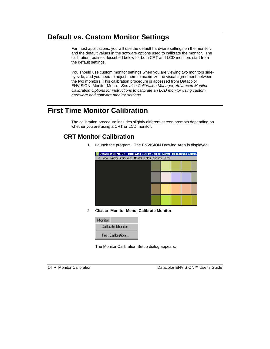### **Default vs. Custom Monitor Settings**

For most applications, you will use the default hardware settings on the monitor, and the default values in the software options used to calibrate the monitor. The calibration routines described below for both CRT and LCD monitors start from the default settings.

You should use custom monitor settings when you are viewing two monitors sideby-side, and you need to adjust them to maximize the visual agreement between the two monitors. This calibration procedure is accessed from Datacolor ENVISION, Monitor Menu. *See also Calibration Manager, Advanced Monitor Calibration Options for instructions to calibrate an LCD monitor using custom hardware and software monitor settings.* 

# **First Time Monitor Calibration**

The calibration procedure includes slightly different screen prompts depending on whether you are using a CRT or LCD monitor.

#### **CRT Monitor Calibration**

1. Launch the program. The ENVISION Drawing Area is displayed:

|  | Datacolor ENVISION: Displaying D65 10 Degree, Default Background Colour, |  |  |  |  |
|--|--------------------------------------------------------------------------|--|--|--|--|
|  | File View Display Environment Monitor Colour Conditions About            |  |  |  |  |
|  |                                                                          |  |  |  |  |
|  |                                                                          |  |  |  |  |
|  |                                                                          |  |  |  |  |
|  |                                                                          |  |  |  |  |
|  |                                                                          |  |  |  |  |
|  |                                                                          |  |  |  |  |
|  |                                                                          |  |  |  |  |
|  |                                                                          |  |  |  |  |
|  |                                                                          |  |  |  |  |
|  |                                                                          |  |  |  |  |
|  |                                                                          |  |  |  |  |

2. Click on **Monitor Menu, Calibrate Monitor**.



The Monitor Calibration Setup dialog appears.

14 • Monitor Calibration Datacolor ENVISION™ User's Guide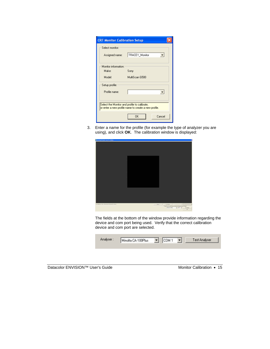| <b>CRT Monitor Calibration Setup</b>         |                                                      |  |  |  |
|----------------------------------------------|------------------------------------------------------|--|--|--|
| Select monitor:                              |                                                      |  |  |  |
| Assigned name:                               | TRACEY_Monitor                                       |  |  |  |
|                                              |                                                      |  |  |  |
| Monitor information:                         |                                                      |  |  |  |
| Make:                                        | Sony                                                 |  |  |  |
| Model:                                       | MultiScan G500                                       |  |  |  |
| Setup profile:                               |                                                      |  |  |  |
| Profile name:                                |                                                      |  |  |  |
| Select the Monitor and profile to calibrate, | or enter a new profile name to create a new profile. |  |  |  |
|                                              | <b>DK</b><br>Cancel                                  |  |  |  |

3. Enter a name for the profile (for example the type of analyzer you are using), and click **OK**. The calibration window is displayed:

| <b>R</b> Cottowing (3) assume case 21, calificates |                                                                                                                                                                       |
|----------------------------------------------------|-----------------------------------------------------------------------------------------------------------------------------------------------------------------------|
|                                                    |                                                                                                                                                                       |
|                                                    |                                                                                                                                                                       |
|                                                    |                                                                                                                                                                       |
|                                                    |                                                                                                                                                                       |
| Latitudes of an interest or interests below.       | See 1<br><b>Technol</b><br>۰<br>IT Clear The Pitz-Max-Node is the Roder Esting Pow Estat Estated<br>$H$ (see ) $H$<br><b>State of Miles</b><br><b>Tel:India</b><br>16 |

The fields at the bottom of the window provide information regarding the device and com port being used. Verify that the correct calibration device and com port are selected.

| Analyser : | Minolta CA-100Plus | COM 1 | Test Analyser |
|------------|--------------------|-------|---------------|
|            |                    |       |               |

| Datacolor ENVISION™ User's Guide |  |  |
|----------------------------------|--|--|
|----------------------------------|--|--|

Monitor Calibration • 15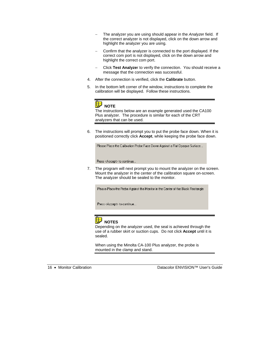- − The analyzer you are using should appear in the *Analyze*r field. If the correct analyzer is not displayed, click on the down arrow and highlight the analyzer you are using.
- − Confirm that the analyzer is connected to the port displayed. If the correct com port is not displayed, click on the down arrow and highlight the correct com port.
- − Click **Test Analyze**r to verify the connection. You should receive a message that the connection was successful.
- 4. After the connection is verified, click the **Calibrate** button.
- 5. In the bottom left corner of the window, instructions to complete the calibration will be displayed. Follow these instructions.



The instructions below are an example generated used the CA100 Plus analyzer. The procedure is similar for each of the CRT analyzers that can be used.

6. The instructions will prompt you to put the probe face down. When it is positioned correctly click **Accept**, while keeping the probe face down.

Please Place the Calibration Probe Face Down Against a Flat Opaque Surface...

Press <Accept> to continue...

7. The program will next prompt you to mount the analyzer on the screen. Mount the analyzer in the center of the calibration square on-screen. The analyzer should be sealed to the monitor.

Please Place the Probe Against the Monitor in the Center of the Black Rectangle

Press <Accept> to continue...



Depending on the analyzer used, the seal is achieved through the use of a rubber skirt or suction cups. Do not click **Accept** until it is sealed.

When using the Minolta CA-100 Plus analyzer, the probe is mounted in the clamp and stand.

16 • Monitor Calibration Datacolor ENVISION™ User's Guide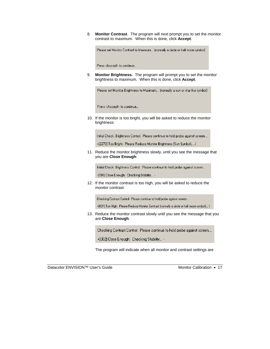8. **Monitor Contrast**. The program will next prompt you to set the monitor contrast to maximum. When this is done, click **Accept**.

Please set Monitor Contrast to Maximum... (normally a circle or half moon symbol)

Press <Accept> to continue...

9. **Monitor Brightness.** The program will prompt you to set the monitor brightness to maximum. When this is done, click **Accept**.

Please set Monitor Brightness to Maximum... (normally a sun or star like symbol)

Press <Accept> to continue...

10. If the monitor is too bright, you will be asked to reduce the monitor brightness:

Initial Check: Brightness Control: Please continue to hold probe against screen...

+[2270] Too Bright: Please Reduce Monitor Brightness (Sun Symbol)... /

11. Reduce the monitor brightness slowly, until you see the message that you are **Close Enough**:

Initial Check: Brightness Control: Please continue to hold probe against screen...

-[010] Close Enough: Checking Stability... -

12. If the monitor contrast is too high, you will be asked to reduce the monitor contrast:

Checking Contrast Control: Please continue to hold probe against screen...

+[031] Too High: Please Reduce Monitor Contrast (normally a circle or half moon symbol)... [

13. Reduce the monitor contrast slowly until you see the message that you are **Close Enough**.

Checking Contrast Control: Please continue to hold probe against screen...

+[002] Close Enough: Checking Stability... -

The program will indicate when all monitor and contrast settings are

Datacolor ENVISION™ User's Guide Monitor Calibration • 17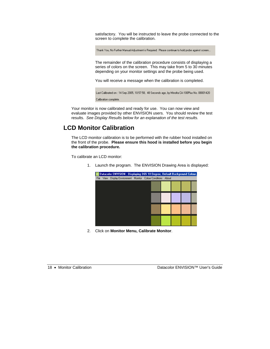satisfactory. You will be instructed to leave the probe connected to the screen to complete the calibration.

Thank You, No Further Manual Adjustment is Required: Please continue to hold probe against screen...

The remainder of the calibration procedure consists of displaying a series of colors on the screen. This may take from 5 to 30 minutes depending on your monitor settings and the probe being used.

You will receive a message when the calibration is completed.

|                       | Last Calibrated on : 14 Sep 2005, 10:57:58,  48 Seconds ago, by Minolta CA-100Plus No. 08001420 . |
|-----------------------|---------------------------------------------------------------------------------------------------|
| Calibration complete. |                                                                                                   |

Your monitor is now calibrated and ready for use. You can now view and evaluate images provided by other ENVISION users. You should review the test results. *See Display Results below for an explanation of the test results.*

#### **LCD Monitor Calibration**

The LCD monitor calibration is to be performed with the rubber hood installed on the front of the probe. **Please ensure this hood is installed before you begin the calibration procedure.**

To calibrate an LCD monitor:

1. Launch the program. The ENVISION Drawing Area is displayed:

|      |      | Datacolor ENVISION: Displaying D65 10 Degree, Default Background Colour, |  |  |  |  |
|------|------|--------------------------------------------------------------------------|--|--|--|--|
| File | View | Display Environment Monitor Colour Conditions About                      |  |  |  |  |
|      |      |                                                                          |  |  |  |  |
|      |      |                                                                          |  |  |  |  |
|      |      |                                                                          |  |  |  |  |
|      |      |                                                                          |  |  |  |  |
|      |      |                                                                          |  |  |  |  |
|      |      |                                                                          |  |  |  |  |
|      |      |                                                                          |  |  |  |  |
|      |      |                                                                          |  |  |  |  |
|      |      |                                                                          |  |  |  |  |
|      |      |                                                                          |  |  |  |  |

2. Click on **Monitor Menu, Calibrate Monitor**.

18 • Monitor Calibration Datacolor ENVISION™ User's Guide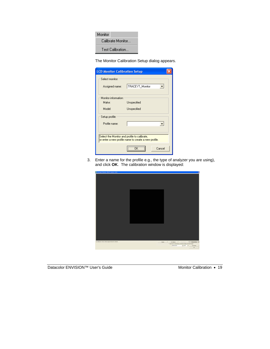

The Monitor Calibration Setup dialog appears.

| <b>LCD Monitor Calibration Setup</b> |                                                                                                      |  |
|--------------------------------------|------------------------------------------------------------------------------------------------------|--|
| Select monitor:                      |                                                                                                      |  |
| Assigned name:                       | TRACEYT_Monitor                                                                                      |  |
|                                      |                                                                                                      |  |
| Monitor information:                 |                                                                                                      |  |
| Make:                                | Unspecified                                                                                          |  |
| Model:                               | Unspecified                                                                                          |  |
| Setup profile:                       |                                                                                                      |  |
| Profile name:                        |                                                                                                      |  |
|                                      | Select the Monitor and profile to calibrate,<br>or enter a new profile name to create a new profile. |  |
|                                      | Cancel                                                                                               |  |

3. Enter a name for the profile e.g., the type of analyzer you are using), and click **OK**. The calibration window is displayed:



Datacolor ENVISION™ User's Guide Monitor Calibration • 19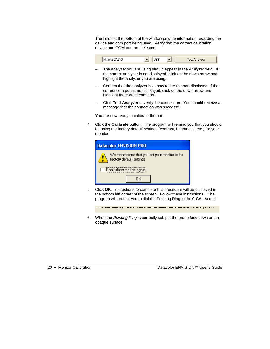The fields at the bottom of the window provide information regarding the device and com port being used. Verify that the correct calibration device and COM port are selected.



- − The analyzer you are using should appear in the *Analyze*r field. If the correct analyzer is not displayed, click on the down arrow and highlight the analyzer you are using.
- − Confirm that the analyzer is connected to the port displayed. If the correct com port is not displayed, click on the down arrow and highlight the correct com port.
- − Click **Test Analyze**r to verify the connection. You should receive a message that the connection was successful.

You are now ready to calibrate the unit.

4. Click the **Calibrate** button. The program will remind you that you should be using the factory default settings (contrast, brightness, etc.) for your monitor.

| Datacolor ENVISION PRO                                                     |  |  |  |  |
|----------------------------------------------------------------------------|--|--|--|--|
| We recommend that you set your monitor to it's<br>factory default settings |  |  |  |  |
| Don't show me this againt                                                  |  |  |  |  |
|                                                                            |  |  |  |  |

5. Click **OK**. Instructions to complete this procedure will be displayed in the bottom left corner of the screen. Follow these instructions. The program will prompt you to dial the Pointing Ring to the **0-CAL** setting.

Please Set the Pointing Ring to the 0-CAL Position then Place the Calibration Probe Face Down Against a Flat Opaque Surface...

6. When the *Pointing Ring* is correctly set, put the probe face down on an opaque surface

20 • Monitor Calibration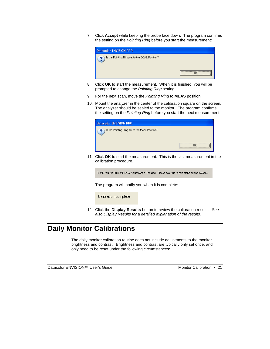7. Click **Accept** while keeping the probe face down. The program confirms the setting on the *Pointing Ring* before you start the measurement:



- 8. Click **OK** to start the measurement. When it is finished, you will be prompted to change the *Pointing Ring* setting.
- 9. For the next scan, move the *Pointing Ring* to **MEAS** position.
- 10. Mount the analyzer in the center of the calibration square on the screen. The analyzer should be sealed to the monitor. The program confirms the setting on the *Pointing Ring* before you start the next measurement:

| <b>Datacolor ENVISION PRO</b>                       |  |
|-----------------------------------------------------|--|
| Is the Pointing Ring set to the Meas Position?<br>ച |  |

11. Click **OK** to start the measurement. This is the last measurement in the calibration procedure.

Thank You, No Further Manual Adjustment is Required: Please continue to hold probe against screen...

The program will notify you when it is complete:

Calibration complete.

12. Click the **Display Results** button to review the calibration results. *See also Display Results for a detailed explanation of the results.*

## **Daily Monitor Calibrations**

The daily monitor calibration routine does not include adjustments to the monitor brightness and contrast. Brightness and contrast are typically only set once, and only need to be reset under the following circumstances:

Datacolor ENVISION™ User's Guide Monitor Calibration • 21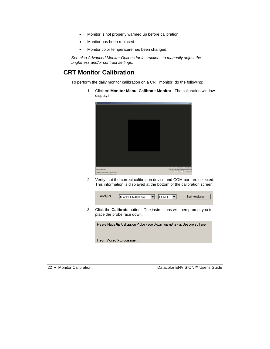- Monitor is not properly warmed up before calibration.
- Monitor has been replaced.
- Monitor color temperature has been changed.

*See also Advanced Monitor Options for instructions to manually adjust the brightness and/or contrast settings.* 

#### **CRT Monitor Calibration**

To perform the daily monitor calibration on a CRT monitor, do the following:

1. Click on **Monitor Menu, Calibrate Monitor**.The calibration window displays.

| <b>Collecting 101 Houston Street Process, Likewither</b>                                                                         | $-13.5$                                                                                                            |
|----------------------------------------------------------------------------------------------------------------------------------|--------------------------------------------------------------------------------------------------------------------|
|                                                                                                                                  |                                                                                                                    |
|                                                                                                                                  |                                                                                                                    |
|                                                                                                                                  |                                                                                                                    |
|                                                                                                                                  |                                                                                                                    |
| terrestate tax<br>tailabed at Non-Shipe at & House to becom-<br>the second the state of the second control of the second company | [BE] he I cannote [ herbane]<br>/ Dan Pa Hi shortado e televizi brog heche Dalgel<br>new Jackson, plan al interest |

2. Verify that the correct calibration device and COM port are selected. This information is displayed at the bottom of the calibration screen.

|    | Analyser:<br>Test Analyser<br>COM 1<br>$\mathbf{r}$<br>Minolta CA-100Plus<br>▾                            |
|----|-----------------------------------------------------------------------------------------------------------|
| 3. | Click the <b>Calibrate</b> button. The instructions will then prompt you to<br>place the probe face down. |
|    | Please Place the Calibration Probe Face Down Against a Flat Opaque Surface                                |

Press <Accept> to continue..

22 • Monitor Calibration Datacolor ENVISION™ User's Guide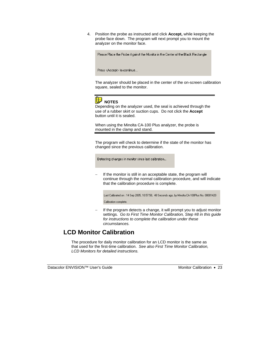4. Position the probe as instructed and click **Accept,** while keeping the probe face down. The program will next prompt you to mount the analyzer on the monitor face.

Please Place the Probe Against the Monitor in the Center of the Black Rectangle

Press <Accept> to continue...

The analyzer should be placed in the center of the on-screen calibration square, sealed to the monitor.



## **NOTES**

Depending on the analyzer used, the seal is achieved through the use of a rubber skirt or suction cups. Do not click the **Accept** button until it is sealed.

When using the Minolta CA-100 Plus analyzer, the probe is mounted in the clamp and stand.

The program will check to determine if the state of the monitor has changed since the previous calibration.

Detecting changes in monitor since last calibration...

If the monitor is still in an acceptable state, the program will continue through the normal calibration procedure, and will indicate that the calibration procedure is complete.

Last Calibrated on : 14 Sep 2005, 10:57:58, 48 Seconds ago, by Minolta CA-100Plus No. 08001420 Calibration complete.

If the program detects a change, it will prompt you to adjust monitor settings. *Go to First Time Monitor Calibration, Step #8 in this guide for instructions to complete the calibration under these circumstances.* 

#### **LCD Monitor Calibration**

The procedure for daily monitor calibration for an LCD monitor is the same as that used for the first-time calibration. *See also First Time Monitor Calibration, LCD Monitors for detailed instructions.*

Datacolor ENVISION™ User's Guide Monitor Calibration • 23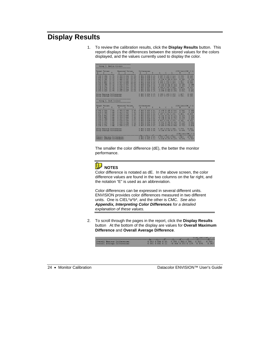### **Display Results**

1. To review the calibration results, click the **Display Results** button. This report displays the differences between the stored values for the colors displayed, and the values currently used to display the color.

| Group 3. Medium Colours                                                                                                                                                                                                                                                                          |                                                                                                                                                                                                                                                                                                           |                                                                                                                                                                                                                                                                                                      |                                                                                                                                                                                                                                                                                                                                      |                                                                                                                                                                                            |  |  |
|--------------------------------------------------------------------------------------------------------------------------------------------------------------------------------------------------------------------------------------------------------------------------------------------------|-----------------------------------------------------------------------------------------------------------------------------------------------------------------------------------------------------------------------------------------------------------------------------------------------------------|------------------------------------------------------------------------------------------------------------------------------------------------------------------------------------------------------------------------------------------------------------------------------------------------------|--------------------------------------------------------------------------------------------------------------------------------------------------------------------------------------------------------------------------------------------------------------------------------------------------------------------------------------|--------------------------------------------------------------------------------------------------------------------------------------------------------------------------------------------|--|--|
| Target Values:<br>v<br>$V =$<br>$x -$                                                                                                                                                                                                                                                            | Measured Values:<br>Y<br>$\mathbf{x}$<br>y                                                                                                                                                                                                                                                                | Differences:<br>$\mathbf{x}$<br>$\overline{\mathbf{v}}$                                                                                                                                                                                                                                              | C.<br>h<br>L                                                                                                                                                                                                                                                                                                                         | (CIE Lab)(CMC 2:1)<br>E.<br>E                                                                                                                                                              |  |  |
| 0.3580.284<br>21.75.<br>21.75<br>$0.408$ $0.324$<br>21.75.<br>$0.442$ $0.381$<br>21.75.<br>0.430<br>0.443<br>21.75.<br>0.366<br>0.461<br>$0.269$ $0.386$<br>21.75.<br>$0.236$ $0.327$<br>21.75.<br>0.221<br>0.270<br>21.75.<br>$0.245$ $0.245$<br>21.75.<br>0.2930.249<br>21.75.                 | $0.359$ $0.284$<br>21.90.<br>21<br>0.408<br>0.324<br>80.<br>0.4430.381<br>21<br>70.<br>0.432<br>0.446<br>21<br>90.<br>0.367<br>0.465<br>22<br>00.<br>$0.269$ $0.387$<br>21<br>90.<br>$0.236$ $0.327$<br>22<br>.00.<br>$0.220$ $0.269$<br>21.70.<br>$0.244$ $0.244$<br>21.80.<br>$0.292$ $0.247$<br>21.60. | $0.001$ $0.000$ $0.15$ .<br>0.000<br>0.000<br>0.05.<br>0.001<br>0.000<br>0.05.<br>0.002<br>0.003<br>0.15.<br>0.001<br>0.004<br>0.<br>25.<br>0.000<br>0.001<br>0.15.<br>0.0000.00000.<br>25.<br>0.001<br>0.001<br>0.05.<br>$0.001$ $0.001$ $0.05$ .<br>$0.001$ $0.002$ $0.15$ .                       | 0.087<br>$0.283$ $0.163$ .<br>$0.063$ $0.084$ $0.057$ .<br>$-0.106$ $0.368$ $0.050$ .<br>$0.204$ 1.403 0.163.<br>$0.094$ 1.229 0.269,<br>$-0.102$ $0.212$ $0.163$<br>$-0.093$ $0.205$ $0.269$ ,<br>$0.308$ $0.255$ $0.050$ .<br>$-0.027$ $0.414$ $0.057$ .<br>$-0.055$ $0.814$ $0.158$ .                                             | 0.168<br>0.338.<br>0.070<br>0.119.<br>0.386.<br>0.214<br>1.427.<br>0.608<br>1.262.<br>0.548<br>0.286.<br>0.144<br>0.351.<br>0.171<br>0.262<br>0.403.<br>0.211<br>0.419.<br>0.831.<br>0.401 |  |  |
|                                                                                                                                                                                                                                                                                                  |                                                                                                                                                                                                                                                                                                           |                                                                                                                                                                                                                                                                                                      | $0.308$ 1.403 0.269.<br>$0.037$ $0.527$ $0.140$ .                                                                                                                                                                                                                                                                                    | 0.608<br>1.427.<br>0.280<br>0.582.                                                                                                                                                         |  |  |
| ,,,,,,,,,,,,,,,,,,,,,,,,,,,,,,,,,,,,,<br>Group 4. Dark Colours<br>,,,,,,,,,,,,,,,,,,,,,,,,,,,,,,,,,,,,                                                                                                                                                                                           |                                                                                                                                                                                                                                                                                                           |                                                                                                                                                                                                                                                                                                      |                                                                                                                                                                                                                                                                                                                                      |                                                                                                                                                                                            |  |  |
| Target Values:<br>Y.<br>$y = -1$<br>$\mathbf{x}$                                                                                                                                                                                                                                                 | Measured Values:<br>y<br>Y<br>$\mathbf{x}$                                                                                                                                                                                                                                                                | Differences:<br>Y<br>$\mathbf{x}$<br>y                                                                                                                                                                                                                                                               | $h$ and $h$<br>C<br>L.                                                                                                                                                                                                                                                                                                               | (CIE Lab)(CMC 2:1)<br>E<br>Ε                                                                                                                                                               |  |  |
| ------------------<br>$0.356$ $0.260$<br>3.44.<br>$0.418$ $0.303$<br>3.44.<br>3.44.<br>0.4670.374<br>$0.436$ $0.442$<br>3.49.<br>0.3580.465<br>3.44.<br>$0.264$ $0.384$<br>3.44.<br>$0.223$ $0.315$<br>3.44.<br>$0.205$ $0.252$<br>3.45.<br>$0.226$ $0.219$<br>3.44.<br>$0.291$ $0.226$<br>3.44. | ------------------<br>0.3530.258<br>3.45.<br>$0.419$ $0.302$<br>3.41.<br>3.38.<br>$0.470$ $0.376$<br>3.52.<br>$0.435$ $0.440$<br>3.46.<br>0.360<br>0.466<br>3.49.<br>$0.265$ $0.387$<br>$0.224$ $0.315$<br>3.52.<br>3.53.<br>$0.208$ $0.256$<br>$0.224$ $0.218$<br>3.48.<br>3.42.<br>$0.288$ $0.223$      | --------------<br>$0.003$ $0.002$ $0.01$ .<br>$0.001$ $0.001$ $0.03$ .<br>$0.003$ $0.002$ $0.06$ .<br>$0.001$ $0.002$ $0.03$ .<br>0.001<br>0.001<br>0.02.<br>0.001<br>$0.003$ $0.05$ .<br>0.001<br>$0.0000.08$ .<br>$0.002$ $0.004$ $0.08$ .<br>$0.002$ $0.001$ $0.04$ .<br>$0.003$ $0.003$<br>0.02. | --------------------------<br>$-0.470$ $0.185$ $0.026$ .<br>$-0.113$ $0.294$ $0.121$ .<br>$0.287$ $0.263$ $0.232$ .<br>$-0.141$ $0.271$ $0.121$ .<br>$-0.206$ $0.201$ $0.062$ .<br>$-0.328$ $0.375$ $0.171$ .<br>$0.117$ $0.156$ $0.279$ .<br>$-0.607$ $0.385$ $0.300$ .<br>$-0.429$ $0.220$ $0.135$ .<br>$-0.409$ $0.574$ $0.084$ . | 0.506.<br>0.385<br>0.338.<br>0.220<br>0.453.<br>0.459<br>0.329.<br>0.226<br>0.294.<br>0.206<br>0.527.<br>0.401<br>0.341.<br>0.261<br>0.779.<br>0.651<br>0.475<br>0.500.<br>0.470<br>0.710. |  |  |
| Group Maximum Differences:<br>Group Average Differences:                                                                                                                                                                                                                                         | <u> Tan</u>                                                                                                                                                                                                                                                                                               | $0.003$ $0.004$ $0.08$ .<br>$0.002$ $0.002$ $0.04$ .                                                                                                                                                                                                                                                 | $0.287$ $0.574$ $0.300$ .<br>$-0.240$ $0.295$ $0.157$ .                                                                                                                                                                                                                                                                              | 0.779.<br>0.651<br>0.494.<br>0.392                                                                                                                                                         |  |  |
| (CIE Lab)(CMC 2:1                                                                                                                                                                                                                                                                                |                                                                                                                                                                                                                                                                                                           |                                                                                                                                                                                                                                                                                                      |                                                                                                                                                                                                                                                                                                                                      |                                                                                                                                                                                            |  |  |
| Overall Maxinum Differences:<br>Overall Average Differences:                                                                                                                                                                                                                                     |                                                                                                                                                                                                                                                                                                           | $0.003$ $0.004$ $0.49$ .<br>$0.001$ $0.001$ $0.12$ .                                                                                                                                                                                                                                                 | $0.399$ 1.403 0.300. 1.427.<br>$-0.036$ $0.372$ $0.129$ . $0.474$ .                                                                                                                                                                                                                                                                  | 0.949<br>0.357                                                                                                                                                                             |  |  |

The smaller the color difference (dE), the better the monitor performance.



Color difference is notated as dE. In the above screen, the color difference values are found in the two columns on the far right, and the notation "E" is used as an abbreviation.

Color differences can be expressed in several different units. ENVISION provides color differences measured in two different units. One is CIEL\*a\*b\*, and the other is CMC. *See also Appendix, Interpreting Color Differences for a detailed explanation of these values.* 

2. To scroll through the pages in the report, click the **Display Results**  button At the bottom of the display are values for **Overall Maximum Difference** and **Overall Average Difference**.

|  |                              |                                                                                                                                                                                                                                | ICTE T9DIICWC SITI |
|--|------------------------------|--------------------------------------------------------------------------------------------------------------------------------------------------------------------------------------------------------------------------------|--------------------|
|  |                              | second home and home and home of home of home who was the construction of the contract contract on the contract of the contract of the contract of the contract of the contract of the contract of the contract of the contrac |                    |
|  | Overall Maximum Differences: | $0.003$ $0.004$ $0.49$ , $0.399$ $1.403$ $0.300$ , $1.427$ ,                                                                                                                                                                   | 0.949              |
|  | Overall Average Differences: | $0.001$ $0.001$ $0.12$ , $-0.036$ $0.372$ $0.129$ , $0.474$ ,                                                                                                                                                                  | 0.357              |
|  |                              |                                                                                                                                                                                                                                |                    |

24 • Monitor Calibration Datacolor ENVISION™ User's Guide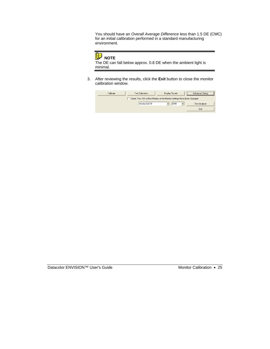You should have an *Overall Average Difference* less than 1.5 DE (CMC) for an initial calibration performed in a standard manufacturing environment.



The DE can fall below approx. 0.8 DE when the ambient light is minimal.

3. After reviewing the results, click the **Exit** button to close the monitor calibration window.

| Calibrate | Test Calibration                                                            | Display Results | Advanced Setup |
|-----------|-----------------------------------------------------------------------------|-----------------|----------------|
|           | Check This, if it's a New Monitor or the Monitor Settings Have Been Changed |                 |                |
|           | Minolta CA210                                                               | lus B           | Test Analyser  |
|           |                                                                             |                 | Exit           |

Datacolor ENVISION™ User's Guide Monitor Calibration • 25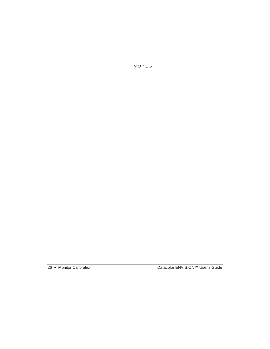*N O T E S* 

26 • Monitor Calibration Datacolor ENVISION™ User's Guide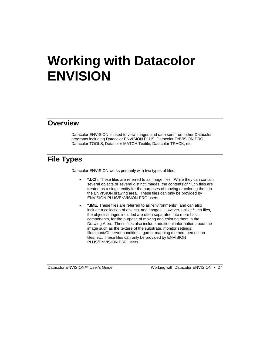# **Working with Datacolor ENVISION**

#### **Overview**

Datacolor ENVISION is used to view images and data sent from other Datacolor programs including Datacolor ENVISION PLUS, Datacolor ENVISION PRO, Datacolor TOOLS, Datacolor MATCH Textile*,* Datacolor TRACK, etc.

# **File Types**

Datacolor ENVISION works primarily with two types of files:

- **\*.LCh**. These files are referred to as image files. While they can contain several objects or several distinct images, the contents of \*.Lch files are treated as a single entity for the purposes of moving or coloring them in the ENVISION drawing area. These files can only be provided by ENVISION PLUS/ENVISION PRO users.
- **\*.IME.** These files are referred to as "environments", and can also include a collection of objects, and images. However, unlike \*.Lch files, the objects/images included are often separated into more basic components, for the purpose of moving and coloring them in the Drawing Area. These files also include additional information about the image such as the texture of the substrate, monitor settings, Illuminant/Observer conditions, gamut mapping method, perception tiles, etc, These files can only be provided by ENVISION PLUS/ENVISION PRO users.

Datacolor ENVISION™ User's Guide Working with Datacolor ENVISION • 27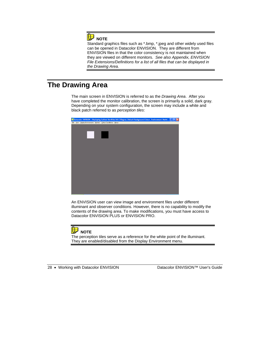

Standard graphics files such as \*.bmp, \*.jpeg and other widely used files can be opened in Datacolor ENVISION. They are different from ENVISION files in that the color consistency is not maintained when they are viewed on different monitors. *See also Appendix, ENVISION File Extensions/Definitions for a list of all files that can be displayed in the Drawing Area.* 

# **The Drawing Area**

The main screen in ENVISION is referred to as the *Drawing Area*. After you have completed the monitor calibration, the screen is primarily a solid, dark gray. Depending on your system configuration, the screen may include a white and black patch referred to as *perception tiles*:



An ENVISION user can view image and environment files under different illuminant and observer conditions. However, there is no capability to modify the contents of the drawing area. To make modifications, you must have access to Datacolor ENVISION PLUS or ENVISION PRO.



The perception tiles serve as a reference for the white point of the illuminant. They are enabled/disabled from the Display Environment menu.

28 • Working with Datacolor ENVISION Datacolor ENVISION™ User's Guide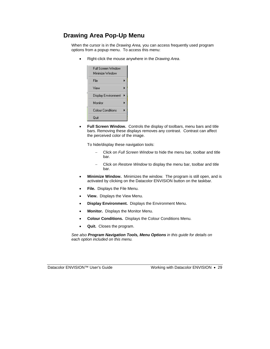#### **Drawing Area Pop-Up Menu**

When the cursor is in the *Drawing Area,* you can access frequently used program options from a popup menu. To access this menu:

• Right-click the mouse anywhere in the *Drawing Area*.

| Full Screen Window<br>Minimize Window |  |
|---------------------------------------|--|
| File                                  |  |
| View                                  |  |
| Display Environment                   |  |
| Monitor                               |  |
| Colour Conditions                     |  |
| Quit                                  |  |

• **Full Screen Window.** Controls the display of toolbars, menu bars and title bars. Removing these displays removes any contrast. Contrast can affect the perceived color of the image.

To hide/display these navigation tools:

- − Click on *Full Screen Window* to hide the menu bar, toolbar and title bar.
- − Click on *Restore Window* to display the menu bar, toolbar and title bar.
- **Minimize Window.** Minimizes the window. The program is still open, and is activated by clicking on the Datacolor ENVISION button on the taskbar.
- **File.** Displays the File Menu.
- **View.** Displays the View Menu.
- **Display Environment.** Displays the Environment Menu.
- **Monitor.** Displays the Monitor Menu.
- **Colour Conditions.** Displays the Colour Conditions Menu.
- **Quit.** Closes the program.

*See also Program Navigation Tools, Menu Options in this guide for details on each option included on this menu.* 

Datacolor ENVISION™ User's Guide Working with Datacolor ENVISION • 29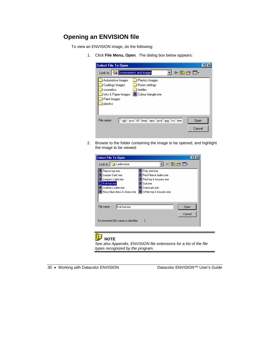#### **Opening an ENVISION file**

To view an ENVISION image, do the following:

1. Click **File Menu, Open**. The dialog box below appears:



2. Browse to the folder containing the image to be opened, and highlight the image to be viewed:

| <b>Select File To Open</b>                                                                                                                                                                                                                                |                |
|-----------------------------------------------------------------------------------------------------------------------------------------------------------------------------------------------------------------------------------------------------------|----------------|
| Look in: G Ladieswear                                                                                                                                                                                                                                     | ←白び囲・          |
| Polo shirt.ime<br>Fleece top.ime<br>Jumper Dark.ime<br>Red Fleece ladies.ime<br>Jumpers Light.ime<br>Red top & trousers.ime<br>Knit-hat.ime<br>Suit.ime<br>Leather Loafer.ime<br>Swimsuits.ime<br>Navy blue dress & shoes.ime<br>White top & trousers.ime |                |
| File name:<br>Knit-hat.ime                                                                                                                                                                                                                                | Open<br>Cancel |
| Environment [No name or identifier                                                                                                                                                                                                                        |                |

#### **NOTE**

S*ee also Appendix, ENVISION file extensions for a list of the file types recognized by the program.* 

|  |  | 30 • Working with Datacolor ENVISION |
|--|--|--------------------------------------|
|  |  |                                      |

g with Datacolor ENVISION Datacolor ENVISION™ User's Guide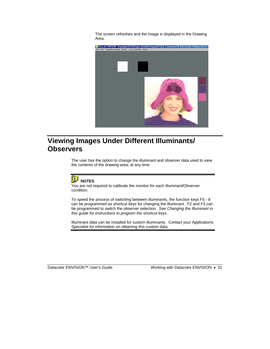The screen refreshes and the image is displayed in the Drawing Area.



# **Viewing Images Under Different Illuminants/ Observers**

The user has the option to change the illuminant and observer data used to view the contents of the drawing area, at any time.



You are not required to calibrate the monitor for each Illuminant/Observer condition.

To speed the process of switching between illuminants, the function keys F5 - 8 can be programmed as shortcut keys for changing the illuminant. F2 and F3 can be programmed to switch the observer selection. *See Changing the Illuminant in this guide for instructions to program the shortcut keys.* 

Illuminant data can be installed for custom illuminants. Contact your Applications Specialist for information on obtaining this custom data.

Datacolor ENVISION™ User's Guide Working with Datacolor ENVISION • 31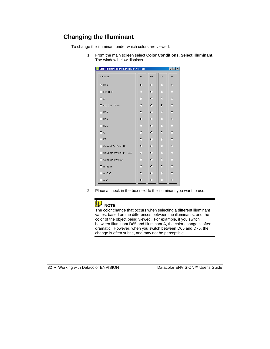#### **Changing the Illuminant**

To change the illuminant under which colors are viewed:

1. From the main screen select **Color Conditions, Select Illuminant.**  The window below displays.

| <b>Select Illuminant and Keyboard Shortcuts</b> |     |         |             | $\Box$      |
|-------------------------------------------------|-----|---------|-------------|-------------|
| Illuminant:                                     | FS: | F6:     | F7:         | F8:         |
| $\nabla$ D65                                    | O   | G.      | C           | C           |
| $\Gamma$ F11 TL84                               | O   | O       | $\mathbf C$ | $\mathbf C$ |
| $\Box$ A                                        | O   | O       | O           | G.          |
| F F02 Cool White                                | O   | O       | $\sigma$    | C           |
| $\Gamma$ D <sub>50</sub>                        | O   | $\circ$ | $\mathbf C$ | $\mathbf C$ |
| $\Box$ D55                                      | Ō   | O       | C           | $\mathbf C$ |
| $\Gamma$ D75                                    | O   | O       | C           | $\mathbf C$ |
| Гο                                              | O   | $\circ$ | O           | C.          |
| $\Gamma$ F7                                     | O   | $\circ$ | $\mathbf C$ | C           |
| Cabinet VeriVide D65<br>⊓                       | G)  | O       | C           | $\mathbf C$ |
| □ Cabinet VeriVide F11 TL84                     | O   | $\circ$ | C           | O           |
| □ Cabinet VeriVide A                            | O   | C       | $\mathbf C$ | C           |
| $\Box$ msTL84                                   | O   | $\circ$ | C           | C           |
| $\Gamma$ msD65                                  | O   | $\circ$ | $\mathbf C$ | C           |
| $\Box$ msA                                      | O   | O       | C           | C           |

2. Place a check in the box next to the illuminant you want to use.



The color change that occurs when selecting a different illuminant varies, based on the differences between the illuminants, and the color of the object being viewed. For example, if you switch between Illuminant D65 and Illuminant A, the color change is often dramatic. However, when you switch between D65 and D75, the change is often subtle, and may not be perceptible.

32 • Working with Datacolor ENVISION Datacolor ENVISION™ User's Guide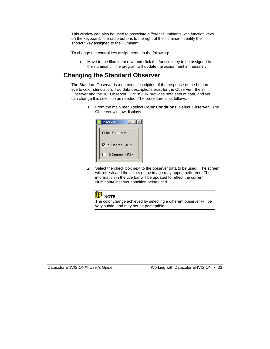This window can also be used to associate different illuminants with function keys on the keyboard. The radio buttons to the right of the illuminant identify the shortcut key assigned to the illuminant.

To change the control key assignment, do the following:

• Move to the Illuminant row, and click the function key to be assigned to the illuminant. The program will update the assignment immediately.

### **Changing the Standard Observer**

The Standard Observer is a numeric description of the response of the human eye to color stimulation. Two data descriptions exist for the Observer: the 2º Observer and the 10º Observer.ENVISION provides both sets of data, and you can change this selection as needed. The procedure is as follows:

> 1. From the main menu select **Color Conditions, Select Observer**. The Observer window displays.



*2.* Select the check box next to the observer data to be used. The screen will refresh and the colors of the image may appear different. The information in the title bar will be updated to reflect the current Illuminant/Observer condition being used.



The color change achieved by selecting a different observer will be very subtle, and may not be perceptible.

Datacolor ENVISION™ User's Guide Working with Datacolor ENVISION • 33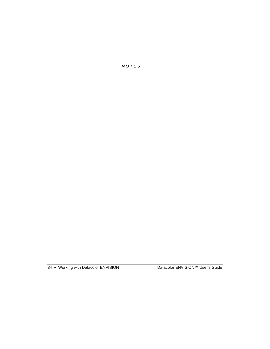*N O T E S* 

34 • Working with Datacolor ENVISION Datacolor ENVISION™ User's Guide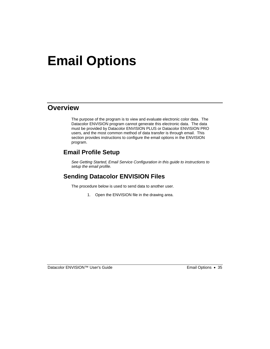# **Email Options**

## **Overview**

The purpose of the program is to view and evaluate electronic color data. The Datacolor ENVISION program cannot generate this electronic data. The data must be provided by Datacolor ENVISION PLUS or Datacolor ENVISION PRO users, and the most common method of data transfer is through email. This section provides instructions to configure the email options in the ENVISION program.

## **Email Profile Setup**

*See Getting Started, Email Service Configuration in this guide to instructions to setup the email profile.* 

## **Sending Datacolor ENVISION Files**

The procedure below is used to send data to another user.

1. Open the ENVISION file in the drawing area.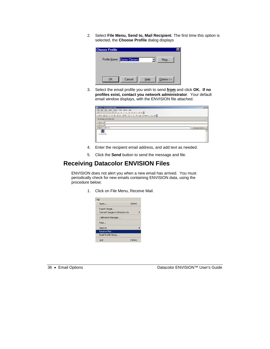2. Select **File Menu, Send to, Mail Recipient**. The first time this option is selected, the **Choose Profile** dialog displays



3. Select the email profile you wish to send **from** and click **OK. If no profiles exist, contact you network administrator**. Your default email window displays, with the ENVISION file attached.

| <b>SE Env.ime - Message (Rich Text)</b>                            | $\Box$             |
|--------------------------------------------------------------------|--------------------|
| <b>Ble</b><br>Edit<br>Insert Format Iook<br>Actions Help<br>Your . |                    |
| $\frac{1}{2}$ Arial<br>→ 10 → △ 1 0 / 豆   画 画 画 三 读 读              |                    |
|                                                                    |                    |
| This message has not been sent.                                    |                    |
| $To_{\lambda^{++}}$                                                |                    |
| Cc                                                                 |                    |
| Subject:<br>Erv.ine                                                | Attachment Options |
| ъ                                                                  |                    |
| Erw.ime (4 KB)                                                     |                    |
|                                                                    |                    |
|                                                                    |                    |

- 4. Enter the recipient email address, and add text as needed.
- 5. Click the **Send** button to send the message and file.

## **Receiving Datacolor ENVISION Files**

ENVISION does not alert you when a new email has arrived. You must periodically check for new emails containing ENVISION data, using the procedure below:

1. Click on File Menu, Receive Mail.

| File                                           |            |  |
|------------------------------------------------|------------|--|
| Open                                           | $Ctrl + O$ |  |
| Export Image<br>Convert Images in Directory to |            |  |
| Calibration Manager                            |            |  |
| Print                                          |            |  |
| Send to                                        |            |  |
| Receive Mail                                   |            |  |
| Email Profile Setup                            |            |  |
| Ouit                                           | Ctrl+O     |  |

36 • Email Options Datacolor ENVISION™ User's Guide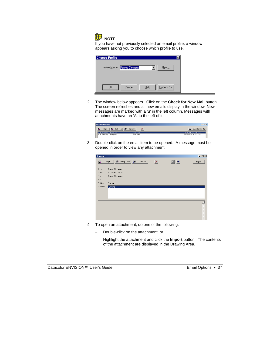# **NOTE**

If you have not previously selected an email profile, a window appears asking you to choose which profile to use.

| <b>Choose Profile</b> |                             |      |            | $\vert x \vert$ |
|-----------------------|-----------------------------|------|------------|-----------------|
|                       | Profile Name: James Clemens |      | New        |                 |
|                       |                             |      |            |                 |
| <b>OK</b>             | Cancel                      | Help | Options >> |                 |

2. The window below appears. Click on the **Check for New Mail** button. The screen refreshes and all new emails display in the window. New messages are marked with a 'u' in the left column. Messages with attachments have an 'A' to the left of it.



3. Double-click on the email item to be opened. A message must be opened in order to view any attachment.

| Message                      |                                                         |                       |                 |    | <b>LDX</b>       |
|------------------------------|---------------------------------------------------------|-----------------------|-----------------|----|------------------|
| 安全                           | Reply To All<br>腺<br>Reply                              | $\sqrt{2}$<br>Forward | $\vert x \vert$ | 回回 | Import           |
| From:<br>Sent:<br>To:<br>Cc: | Tracey Thompson<br>2005/09/14 09:37<br>Tracey Thompson; |                       |                 |    |                  |
| Subject:<br>Attached:        | Env.ime<br>Env.ime                                      |                       |                 |    |                  |
|                              |                                                         |                       |                 |    | $\blacktriangle$ |

- 4. To open an attachment, do one of the following:
	- − Double-click on the attachment, or…
	- − Highlight the attachment and click the **Import** button. The contents of the attachment are displayed in the Drawing Area.

Datacolor ENVISION™ User's Guide Email Options • 37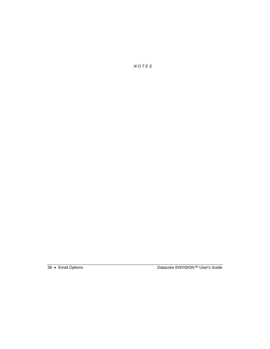*N O T E S* 

38 • Email Options Datacolor ENVISION™ User's Guide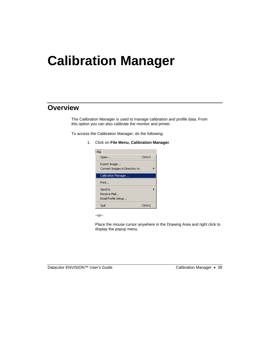# **Calibration Manager**

## **Overview**

The Calibration Manager is used to manage calibration and profile data. From this option you can also calibrate the monitor and printer.

To access the Calibration Manager, do the following:

1. Click on **File Menu, Calibration Manager**.



 $\sim$ or $\sim$ 

Place the mouse cursor anywhere in the Drawing Area and right click to display the popup menu.

Datacolor ENVISION™ User's Guide Calibration Manager • 39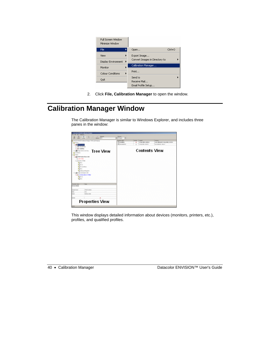| Full Screen Window<br>Minimize Window |                                |        |
|---------------------------------------|--------------------------------|--------|
| File<br>▶                             | Open                           | Ctrl+O |
| View                                  | Export Image                   |        |
| Display Environment                   | Convert Images in Directory to |        |
| Monitor                               | Calibration Manager            |        |
| Colour Conditions                     | Print                          |        |
| Ouit                                  | Send to<br>Receive Mail        |        |
|                                       | Email Profile Setup            |        |

2. Click **File, Calibration Manager** to open the window.

# **Calibration Manager Window**

The Calibration Manager is similar to Windows Explorer, and includes three panes in the window:

| m                                                                                        |                                     |                                                                            |                                                                      |
|------------------------------------------------------------------------------------------|-------------------------------------|----------------------------------------------------------------------------|----------------------------------------------------------------------|
| <b>Tree View</b><br><b><i><u><i><u>Re-Plaza Link</u></i></u></i></b><br>---              | <b>Brandon</b><br><b>Concession</b> | <b>AT ROLL WARD, MINNESON</b><br>cray rate, scapes<br><b>Contents View</b> | <b>LAR LARCAGE LEASE RIGHTS. LEASEN</b><br>Late collection colourers |
| -<br>÷<br><b>Ford's Audus</b><br><b>COLOR</b><br>National date<br><b>Properties View</b> |                                     |                                                                            |                                                                      |

This window displays detailed information about devices (monitors, printers, etc.), profiles, and qualified profiles.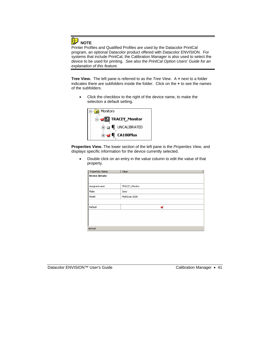

Printer Profiles and Qualified Profiles are used by the Datacolor PrintCal program, an optional Datacolor product offered with Datacolor ENVISION. For systems that include PrintCal, the Calibration Manager is also used to select the device to be used for printing. *See also the PrintCal Option Users' Guide for an explanation of this feature.* 

**Tree View.** The left pane is referred to as the *Tree View*. A *+* next to a folder indicates there are subfolders inside the folder. Click on the **+** to see the names of the subfolders.

• Click the checkbox to the right of the device name, to make the selection a default setting.



**Properties View.** The lower section of the left pane is the *Properties View*, and displays specific information for the device currently selected.

• Double click on an entry in the value column to edit the value of that property.

|                                     | Value          |
|-------------------------------------|----------------|
| Properties: Name<br>Device details: |                |
| Assigned name                       | TRACEY_Monitor |
| Make                                | Sony           |
| Model                               | MultiScan G500 |
|                                     |                |
| Default                             |                |
|                                     |                |
|                                     |                |
|                                     |                |
| Nor                                 |                |

Datacolor ENVISION™ User's Guide<br>
Calibration Manager • 41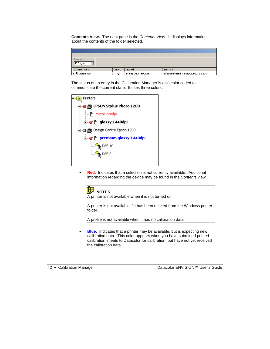**Contents View.** The right pane is the *Contents View.* It displays information about the contents of the folder selected.

| Observer:<br>$\sqrt{\sqrt{10 \text{Degree}}}$ |         |                       |                                        |
|-----------------------------------------------|---------|-----------------------|----------------------------------------|
|                                               | Default | Created               | Summary                                |
| Contents: Name<br>CA100Plus                   |         | 14 Sep 2005, 10:20:44 | Last calibrated: 14 Sep 2005, 11:37:24 |

The status of an entry in the Calibration Manager is also color coded to communicate the current state. It uses three colors:

| Printers                        |
|---------------------------------|
| 白 200 EPSON Stylus Photo 1200   |
| ≔ Pr matte 720dpi               |
| ⊟ ar ∆ glossy 1440dpi           |
| 白… ■ ● Design Centre Epson 1200 |
|                                 |
| D65 10                          |
| D652                            |
|                                 |

• **Red.** Indicates that a selection is not currently available. Additional information regarding the device may be found in the *Contents* view.



A printer is not available when it is not turned on.

A printer is not available if it has been deleted from the Windows printer folder.

A profile is not available when it has no calibration data.

• **Blue.** Indicates that a printer may be available, but is expecting new calibration data. This color appears when you have submitted printed calibration sheets to Datacolor for calibration, but have not yet received the calibration data.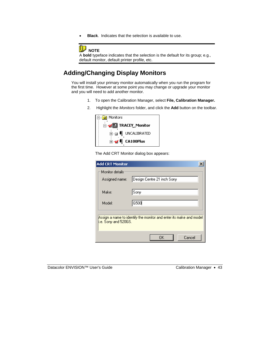• **Black**. Indicates that the selection is available to use.



A **bold** typeface indicates that the selection is the default for its group; e.g., default monitor, default printer profile, etc.

## **Adding/Changing Display Monitors**

You will install your primary monitor automatically when you run the program for the first time. However at some point you may change or upgrade your monitor and you will need to add another monitor.

- 1. To open the Calibration Manager, select **File, Calibration Manager.**
- 2. Highlight the *Monitors* folder, and click the **Add** button on the toolbar.

| ⊟ Monitors |                                    |
|------------|------------------------------------|
|            | 白 <b>g</b> TRACEY_Monitor          |
|            | <b>E</b> - <b>E</b> I UNCALIBRATED |
|            | <b>E</b> ⊿ ( CA100Plus             |



| <b>Add CRT Monitor</b>            |                                                                     |  |
|-----------------------------------|---------------------------------------------------------------------|--|
| Monitor details<br>Assigned name: | Design Centre 21 inch Sony                                          |  |
| Make:                             | Sony                                                                |  |
| Model:                            | G500                                                                |  |
| i.e. Sony and 520GS.              | Assign a name to identify the monitor and enter its make and model. |  |
|                                   | Cancel<br>0K                                                        |  |

| Datacolor ENVISION™ User's Guide |  |
|----------------------------------|--|
|----------------------------------|--|

Calibration Manager • 43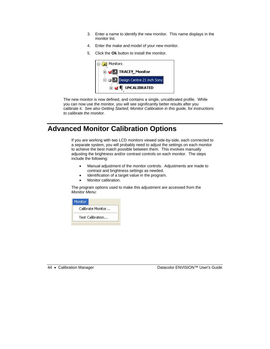- 3. Enter a name to identify the new monitor. This name displays in the monitor list.
- 4. Enter the make and model of your new monitor.
- 5. Click the **Ok** button to install the monitor.



The new monitor is now defined, and contains a single, uncalibrated profile. While you can now use the monitor, you will see significantly better results after you calibrate it. *See also Getting Started, Monitor Calibration in this guide, for instructions to calibrate the monitor.* 

# **Advanced Monitor Calibration Options**

If you are working with two LCD monitors viewed side-by-side, each connected to a separate system, you will probably need to adjust the settings on each monitor to achieve the best match possible between them. This involves manually adjusting the brightness and/or contrast controls on each monitor. The steps include the following:

- Manual adjustment of the monitor controls. Adjustments are made to contrast and brightness settings as needed.
- Identification of a target value in the program.
- Monitor calibration.

The program options used to make this adjustment are accessed from the *Monitor Menu*:

|                   | Monitor |
|-------------------|---------|
| Calibrate Monitor |         |
| Test Calibration  |         |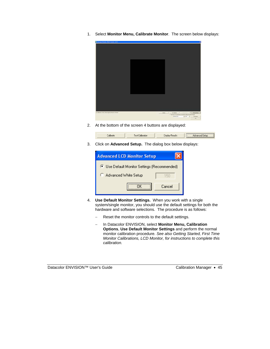1. Select **Monitor Menu, Calibrate Monitor**. The screen below displays:

| Economistich Home: Hactel Home, CAPD              |                 |                                                                                                                    |
|---------------------------------------------------|-----------------|--------------------------------------------------------------------------------------------------------------------|
|                                                   |                 |                                                                                                                    |
|                                                   |                 |                                                                                                                    |
|                                                   |                 |                                                                                                                    |
|                                                   |                 |                                                                                                                    |
|                                                   |                 |                                                                                                                    |
|                                                   |                 |                                                                                                                    |
|                                                   |                 |                                                                                                                    |
|                                                   |                 |                                                                                                                    |
|                                                   |                 |                                                                                                                    |
|                                                   |                 |                                                                                                                    |
|                                                   |                 |                                                                                                                    |
|                                                   |                 |                                                                                                                    |
|                                                   |                 |                                                                                                                    |
|                                                   |                 |                                                                                                                    |
|                                                   |                 |                                                                                                                    |
|                                                   |                 |                                                                                                                    |
|                                                   |                 |                                                                                                                    |
|                                                   |                 |                                                                                                                    |
|                                                   |                 |                                                                                                                    |
|                                                   |                 |                                                                                                                    |
|                                                   |                 |                                                                                                                    |
|                                                   |                 |                                                                                                                    |
|                                                   |                 |                                                                                                                    |
|                                                   |                 |                                                                                                                    |
|                                                   |                 |                                                                                                                    |
|                                                   |                 |                                                                                                                    |
| Lat' Monday, New University by Driver St. Drivers | <b>Calculat</b> | <b>Manufire</b><br>Tel Cabdon<br><b>Tale Ford</b><br>17 Des Tou 4 th a No Mode a Nethinle Setting Hard Ban Charge! |
|                                                   |                 | $\frac{1}{2}$ for $\frac{1}{2}$<br><b>Festival Corp.</b><br>Technical                                              |
|                                                   |                 | 14                                                                                                                 |

2. At the bottom of the screen 4 buttons are displayed:



3. Click on **Advanced Setup.** The dialog box below displays:



- 4. **Use Default Monitor Settings.** When you work with a single system/single monitor, you should use the default settings for both the hardware and software selections. The procedure is as follows:
	- Reset the monitor controls to the default settings.
	- − In Datacolor ENVISION, select **Monitor Menu, Calibration Options**, **Use Default Monitor Settings** and perform the normal monitor calibration procedure. *See also Getting Started, First Time Monitor Calibrations, LCD Monitor, for instructions to complete this calibration.*

Datacolor ENVISION™ User's Guide<br>
Calibration Manager • 45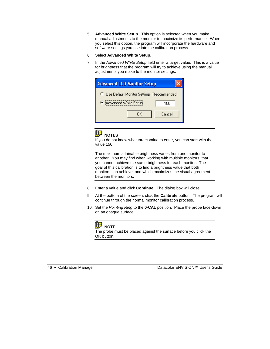- 5. **Advanced White Setup.** This option is selected when you make manual adjustments to the monitor to maximize its performance. When you select this option, the program will incorporate the hardware and software settings you use into the calibration process.
- 6. Select **Advanced White Setup**.
- 7. In the *Advanced White Setup* field enter a target value. This is a value for brightness that the program will try to achieve using the manual adjustments you make to the monitor settings.





If you do not know what target value to enter, you can start with the value 150.

The maximum attainable brightness varies from one monitor to another. You may find when working with multiple monitors, that you cannot achieve the same brightness for each monitor. The goal of this calibration is to find a brightness value that both monitors can achieve, and which maximizes the visual agreement between the monitors.

- 8. Enter a value and click **Continue**. The dialog box will close.
- 9. At the bottom of the screen, click the **Calibrate** button. The program will continue through the normal monitor calibration process.
- 10. Set the *Pointing Ring* to the **0-CAL** position. Place the probe face-down on an opaque surface.



The probe must be placed against the surface before you click the **OK** button.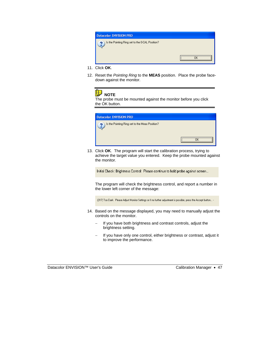

- 11. Click **OK**.
- 12. Reset the *Pointing Ring* to the **MEAS** position. Place the probe facedown against the monitor.

#### 电  **NOTE**

The probe must be mounted against the monitor before you click the OK button.

| <b>Datacolor ENVISION PRO</b>                  |  |
|------------------------------------------------|--|
| Is the Pointing Ring set to the Meas Position? |  |
| ൈ                                              |  |

13. Click **OK**. The program will start the calibration process, trying to achieve the target value you entered. Keep the probe mounted against the monitor.

Initial Check: Brightness Control: Please continue to hold probe against screen...

The program will check the brightness control, and report a number in the lower left corner of the message:

-[317] Too Dark: Please Adjust Monitor Settings or if no further adjustment is possible, press the Accept button... -

- 14. Based on the message displayed, you may need to manually adjust the controls on the monitor.
	- If you have both brightness and contrast controls, adjust the brightness setting.
	- − If you have only one control, either brightness or contrast, adjust it to improve the performance.

Datacolor ENVISION™ User's Guide Calibration Manager • 47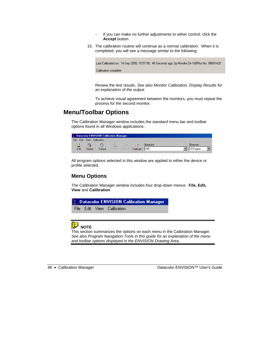- − If you can make no further adjustments to either control, click the **Accept** button.
- 15. The calibration routine will continue as a normal calibration. When it is completed, you will see a message similar to the following:

Last Calibrated on : 14 Sep 2005, 10:57:58, 48 Seconds ago, by Minolta CA-100Plus No. 08001420 Calibration complete.

Review the test results. *See also Monitor Calibration, Display Results for an explanation of the output.* 

To achieve visual agreement between the monitors, you must repeat the process for the second monitor.

#### **Menu/Toolbar Options**

The Calibration Manager window includes the standard menu bar and toolbar options found in all Windows applications:

|                     | Datacolor ENVISION Calibration Manager |                  |                               |  |   |             |                        |
|---------------------|----------------------------------------|------------------|-------------------------------|--|---|-------------|------------------------|
| <b>File</b><br>Edit |                                        | View Calibration |                               |  |   |             |                        |
| Е<br>Add            | Delete                                 | Default          | Update Generate Calibrate D65 |  | 賦 | Illuminant: | Observer:<br>10 Degree |

All program options selected in this window are applied to either the device or profile selected.

#### **Menu Options**

The Calibration Manager window includes four drop-down menus: **File, Edit, View** and **Calibration**.



#### **B** NOTE

This section summarizes the options on each menu in the Calibration Manager. *See also Program Navigation Tools in this guide for an explanation of the menu and toolbar options displayed in the ENVISION Drawing Area.*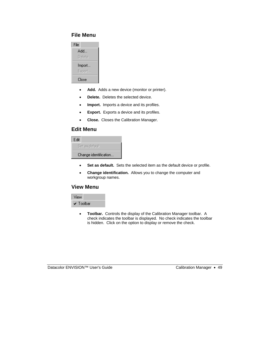#### **File Menu**



- **Add.** Adds a new device (monitor or printer).
- **Delete.** Deletes the selected device.
- **Import.** Imports a device and its profiles.
- **Export.** Exports a device and its profiles.
- **Close.** Closes the Calibration Manager.

#### **Edit Menu**

| Edit                  |
|-----------------------|
| Set as default        |
| Change identification |

- **Set as default.** Sets the selected item as the default device or profile.
- **Change identification.** Allows you to change the computer and workgroup names.

#### **View Menu**



• **Toolbar.** Controls the display of the Calibration Manager toolbar. A check indicates the toolbar is displayed. No check indicates the toolbar is hidden. Click on the option to display or remove the check.

Datacolor ENVISION™ User's Guide Calibration Manager • 49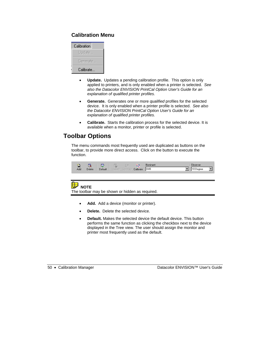#### **Calibration Menu**

| Calibration |
|-------------|
| Update      |
| Generate    |
| Calibrate   |

- **Update.** Updates a pending calibration profile. This option is only applied to printers, and is only enabled when a printer is selected. *See also the Datacolor ENVISION PrintCal Option User's Guide for an explanation of qualified printer profiles.*
- **Generate.** Generates one or more *qualified* profiles for the selected device. It is only enabled when a printer profile is selected. *See also the Datacolor ENVISION PrintCal Option User's Guide for an explanation of qualified printer profiles.*
- **Calibrate.** Starts the calibration process for the selected device. It is available when a monitor, printer or profile is selected.

## **Toolbar Options**

The menu commands most frequently used are duplicated as buttons on the toolbar, to provide more direct access. Click on the button to execute the function.



#### **NOTE**

The toolbar may be shown or hidden as required.

- Add. Add a device (monitor or printer).
- **Delete.** Delete the selected device.
- **Default.** Makes the selected device the default device. This button performs the same function as clicking the checkbox next to the device displayed in the Tree view. The user should assign the monitor and printer most frequently used as the default.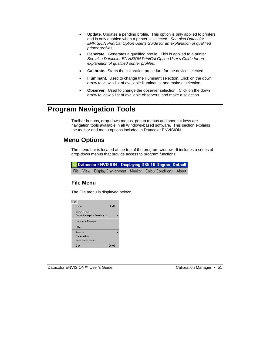- **Update.** Updates a pending profile. This option is only applied to printers and is only enabled when a printer is selected. *See also Datacolor ENVISION PrintCal Option User's Guide for an explanation of qualified printer profiles.*
- **Generate.** Generates a qualified profile. This is applied to a printer. *See also Datacolor ENVISION PrintCal Option User's Guide for an explanation of qualified printer profiles.*
- **Calibrate.** Starts the calibration procedure for the device selected.
- **llluminant.** Used to change the illuminant selection. Click on the down arrow to view a list of available illuminants, and make a selection.
- **Observer.** Used to change the observer selection. Click on the down arrow to view a list of available observers, and make a selection.

# **Program Navigation Tools**

Toolbar buttons, drop-down menus, popup menus and shortcut keys are navigation tools available in all Windows-based software. This section explains the toolbar and menu options included in Datacolor ENVISION.

## **Menu Options**

The menu bar is located at the top of the program window. It includes a series of drop-down menus that provide access to program functions.

|  | $\leq$ Datacolor ENVISION : Displaying D65 10 Degree, Default |  |  |
|--|---------------------------------------------------------------|--|--|
|  | File View Display Environment Monitor Colour Conditions About |  |  |

#### **File Menu**

The File menu is displayed below:

| File                           |                 |  |
|--------------------------------|-----------------|--|
| Open                           | $C$ trl+ $\cap$ |  |
| Export Image                   |                 |  |
| Convert Images in Directory to |                 |  |
| Calibration Manager            |                 |  |
| Print                          |                 |  |
| Send to                        |                 |  |
| Receive Mail                   |                 |  |
| Email Profile Setup            |                 |  |
| Quit                           | Ctrl+Q          |  |

Datacolor ENVISION™ User's Guide Calibration Manager • 51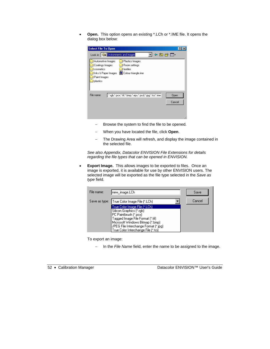• **Open.** This option opens an existing \*.LCh or \*.IME file. It opens the dialog box below:

| <b>Select File To Open</b>                                                                                                                                                  |                |
|-----------------------------------------------------------------------------------------------------------------------------------------------------------------------------|----------------|
| Look in: Environments and images<br>中国首团                                                                                                                                    |                |
| Automotive Images<br>Plastics Images<br>Coatings Images<br>Room settings<br>cosmetics<br>textiles<br>Colour triangle.ime<br>Inks & Paper Images<br>Paint Images<br>plastics |                |
| File name:<br>".rgb;".pcx;".tif;".bmp;".eps;".pcd;".jpg;".tci;".ime.                                                                                                        | Open<br>Cancel |

- Browse the system to find the file to be opened.
- − When you have located the file, click **Open**.
- − The Drawing Area will refresh, and display the image contained in the selected file.

*See also Appendix, Datacolor ENVISION File Extensions for details regarding the file types that can be opened in ENVISION.* 

• **Export Image.** This allows images to be exported to files. Once an image is exported, it is available for use by other ENVISION users. The selected image will be exported as the file type selected in the *Save as type* field.

| File name:    | Inew image.LCh                                                                                                                                                                                                                             | Save   |
|---------------|--------------------------------------------------------------------------------------------------------------------------------------------------------------------------------------------------------------------------------------------|--------|
| Save as type: | True Color Image File (*.LCh)                                                                                                                                                                                                              | Cancel |
|               | True Color Image File (*.LCh).<br>Silicon Graphics (*.rgb)<br>PC Paintbrush (*.pcx)<br>Tagged Image File Format (*.tif)<br>Microsoft Windows Bitmap [*.bmp]<br>JPEG File Interchange Format [*.jpg]<br>True Color Interchange File [*.tci] |        |

To export an image:

− In the *File Name* field, enter the name to be assigned to the image.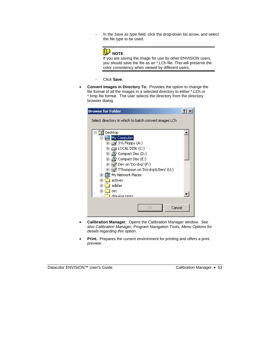− In the *Save as type* field, click the drop-down list arrow, and select the file type to be used.



If you are saving the image for use by other ENVISION users, you should save the file as an \*.LCh file. This will preserve the color consistency when viewed by different users.

- − Click **Save**.
- **Convert Images in Directory To.** Provides the option to change the file format of all the images in a selected directory to either \*.LCh or \*.bmp file format. The user selects the directory from the directory browser dialog.

| <b>Browse for Folder</b>                              |  |
|-------------------------------------------------------|--|
| Select directory in which to batch convert images LCh |  |
|                                                       |  |
| Desktop                                               |  |
| My Computer                                           |  |
| 由--- 13 31⁄2 Floppy (A:)                              |  |
| $\boxplus$ $\oplus$ local disk (c;)                   |  |
| $\boxplus \mathcal{C}$ Compact Disc (D:)              |  |
| $\boxplus \lnot \in \mathcal{P}$ Compact Disc (E:)    |  |
| ⊞∙全 Dev on 'Dci-dvp' (F:)                             |  |
| 由∙-- 全 TThompson on 'Dci-dvp\USers' (U:)              |  |
| ·dil My Network Places<br>$\overline{+}$              |  |
| activex<br>ஈ                                          |  |
| adidas<br>ஈ                                           |  |
| circ<br>ஈ                                             |  |
| diai-eve tests                                        |  |
|                                                       |  |
| Cancel<br>ОК                                          |  |
|                                                       |  |

- **Calibration Manager.** Opens the Calibration Manager window. *See also Calibration Manager, Program Navigation Tools, Menu Options for details regarding this option.*
- Print. Prepares the current environment for printing and offers a print preview.

Datacolor ENVISION™ User's Guide Calibration Manager • 53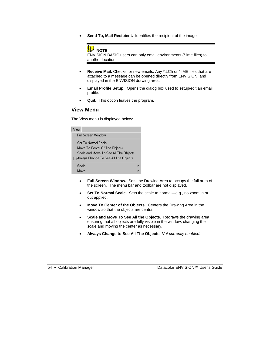• **Send To, Mail Recipient.** Identifies the recipient of the image.



ENVISION BASIC users can only email environments (\*.ime files) to another location.

- **Receive Mail.** Checks for new emails. Any \*.LCh or \*.IME files that are attached to a message can be opened directly from ENVISION, and displayed in the ENVISION drawing area.
- **Email Profile Setup.** Opens the dialog box used to setup/edit an email profile.
- **Quit.** This option leaves the program.

#### **View Menu**

The View menu is displayed below:

| View  |                                        |  |
|-------|----------------------------------------|--|
|       | Full Screen Window                     |  |
|       | Set I'n Normal Scale                   |  |
|       | Move To Center Of The Objects          |  |
|       | Scale and Move To See All The Objects  |  |
|       | j Always Change To See All The Objects |  |
| Scale |                                        |  |
| Move  |                                        |  |

- **Full Screen Window.** Sets the Drawing Area to occupy the full area of the screen. The menu bar and toolbar are not displayed.
- **Set To Normal Scale.** Sets the scale to normal—e.g., no zoom in or out applied.
- **Move To Center of the Objects.** Centers the Drawing Area in the window so that the objects are central.
- **Scale and Move To See All the Objects.** Redraws the drawing area ensuring that all objects are fully visible in the window, changing the scale and moving the center as necessary.
- **Always Change to See All The Objects.** *Not currently enabled.*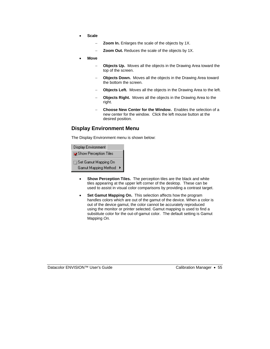- **Scale** 
	- **Zoom In.** Enlarges the scale of the objects by 1X.
	- **Zoom Out.** Reduces the scale of the objects by 1X.
- **Move** 
	- **Objects Up.** Moves all the objects in the Drawing Area toward the top of the screen.
	- **Objects Down.** Moves all the objects in the Drawing Area toward the bottom the screen.
	- − **Objects Left.** Moves all the objects in the Drawing Area to the left.
	- **Objects Right.** Moves all the objects in the Drawing Area to the right.
	- − **Choose New Center for the Window.** Enables the selection of a new center for the window. Click the left mouse button at the desired position.

#### **Display Environment Menu**

The Display Environment menu is shown below:

| Display Environment     |   |
|-------------------------|---|
| ि Show Perception Tiles |   |
| Set Gamut Mapping On    |   |
| Gamut Mapping Method    | ▶ |

- **Show Perception Tiles.** The perception tiles are the black and white tiles appearing at the upper left corner of the desktop. These can be used to assist in visual color comparisons by providing a contrast target.
- **Set Gamut Mapping On.** This selection affects how the program handles colors which are out of the gamut of the device. When a color is out of the device gamut, the color cannot be accurately reproduced using the monitor or printer selected. Gamut mapping is used to find a substitute color for the out-of-gamut color. The default setting is Gamut Mapping *On.*

Datacolor ENVISION™ User's Guide Calibration Manager • 55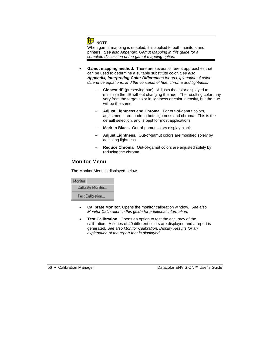

When gamut mapping is enabled, it is applied to both monitors and printers. *See also Appendix, Gamut Mapping in this guide for a complete discussion of the gamut mapping option.* 

- **Gamut mapping method.** There are several different approaches that can be used to determine a suitable substitute color. *See also Appendix, Interpreting Color Differences for an explanation of color difference equations, and the concepts of hue, chroma and lightness.* 
	- − **Closest dE** (preserving hue) . Adjusts the color displayed to minimize the dE without changing the hue. The resulting color may vary from the target color in lightness or color intensity, but the hue will be the same.
	- Adjust Lightness and Chroma. For out-of-gamut colors, adjustments are made to both lightness and chroma. This is the default selection, and is best for most applications.
	- Mark in Black. Out-of-gamut colors display black.
	- − **Adjust Lightness.** Out-of-gamut colors are modified solely by adjusting lightness.
	- − **Reduce Chroma.** Out-of-gamut colors are adjusted solely by reducing the chroma.

#### **Monitor Menu**

The Monitor Menu is displayed below:

| Monitor           |  |
|-------------------|--|
| Calibrate Monitor |  |
| Test Calibration  |  |

- **Calibrate Monitor.** Opens the monitor calibration window. *See also Monitor Calibration in this guide for additional information.*
- **Test Calibration.** Opens an option to test the accuracy of the calibration. A series of 40 different colors are displayed and a report is generated. *See also Monitor Calibration, Display Results for an explanation of the report that is displayed.*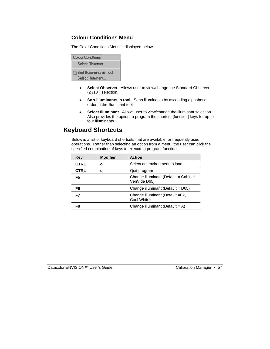#### **Colour Conditions Menu**

The Color Conditions Menu is displayed below:

| Colour Conditions                             |
|-----------------------------------------------|
| Select Observer                               |
| Sort Illuminants in Tool<br>Select Illuminant |

- **Select Observer.** Allows user to view/change the Standard Observer (2º/10º) selection.
- **Sort Illuminants in tool.** Sorts illuminants by ascending alphabetic order in the illuminant tool.
- **Select Illuminant.** Allows user to view/change the illuminant selection. Also provides the option to program the shortcut [function] keys for up to four illuminants.

## **Keyboard Shortcuts**

Below is a list of keyboard shortcuts that are available for frequently used operations. Rather than selecting an option from a menu, the user can click the specified combination of keys to execute a program function.

| Key         | <b>Modifier</b> | <b>Action</b>                                         |
|-------------|-----------------|-------------------------------------------------------|
| <b>CTRL</b> | ο               | Select an environment to load                         |
| <b>CTRL</b> | a               | Quit program                                          |
| F5          |                 | Change illuminant (Default = Cabinet<br>VeriVide D65) |
| F6          |                 | Change illuminant (Default = D65)                     |
| F7          |                 | Change illuminant (Default =F2,<br>Cool White)        |
| F8          |                 | Change illuminant (Default = $A$ )                    |

Datacolor ENVISION™ User's Guide Calibration Manager • 57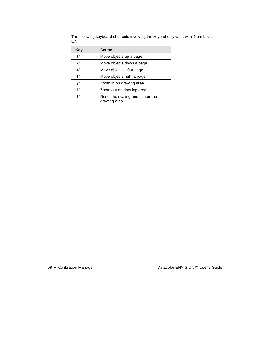| Key            | <b>Action</b>                                    |
|----------------|--------------------------------------------------|
| '8'            | Move objects up a page                           |
| '2'            | Move objects down a page                         |
| '4'            | Move objects left a page                         |
| '6'            | Move objects right a page                        |
| '7'            | Zoom in on drawing area                          |
| $^{\prime}$ 1' | Zoom out on drawing area                         |
| '5'            | Reset the scaling and center the<br>drawing area |

The following keyboard shortcuts involving the keypad only work with 'Num Lock' ON: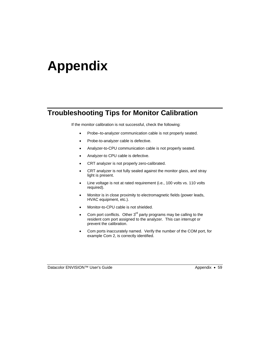# **Appendix**

## **Troubleshooting Tips for Monitor Calibration**

If the monitor calibration is not successful, check the following:

- Probe–to-analyzer communication cable is not properly seated.
- Probe-to-analyzer cable is defective.
- Analyzer-to-CPU communication cable is not properly seated.
- Analyzer-to CPU cable is defective.
- CRT analyzer is not properly zero-calibrated.
- CRT analyzer is not fully sealed against the monitor glass, and stray light is present.
- Line voltage is not at rated requirement (i.e., 100 volts vs. 110 volts required).
- Monitor is in close proximity to electromagnetic fields (power leads, HVAC equipment, etc.).
- Monitor-to-CPU cable is not shielded.
- Com port conflicts. Other  $3^{rd}$  party programs may be calling to the resident com port assigned to the analyzer. This can interrupt or prevent the calibration.
- Com ports inaccurately named. Verify the number of the COM port, for example Com 2, is correctly identified.

Datacolor ENVISION™ User's Guide Appendix • 59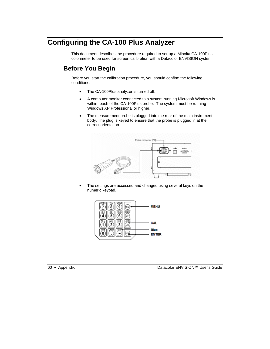# **Configuring the CA-100 Plus Analyzer**

This document describes the procedure required to set-up a Minolta CA-100Plus colorimeter to be used for screen calibration with a Datacolor ENVISION system.

## **Before You Begin**

Before you start the calibration procedure, you should confirm the following conditions:

- The CA-100Plus analyzer is turned off.
- A computer monitor connected to a system running Microsoft Windows is within reach of the CA-100Plus probe. The system must be running Windows XP Professional or higher.
- The measurement probe is plugged into the rear of the main instrument body. The plug is keyed to ensure that the probe is plugged in at the correct orientation.



The settings are accessed and changed using several keys on the numeric keypad.



60 • Appendix Datacolor ENVISION™ User's Guide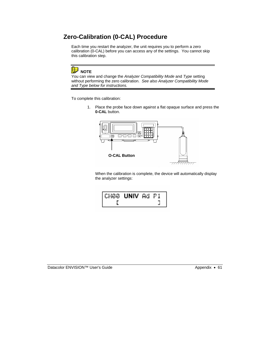## **Zero-Calibration (0-CAL) Procedure**

Each time you restart the analyzer, the unit requires you to perform a zero calibration (0-CAL) before you can access any of the settings. You cannot skip this calibration step.

## **NOTE**

You can view and change the *Analyzer Compatibility Mode* and *Type* setting without performing the zero calibration. *See also Analyzer Compatibility Mode and Type below for instructions.*

To complete this calibration:

1. Place the probe face down against a flat opaque surface and press the **0-CAL** button.



When the calibration is complete, the device will automatically display the analyzer settings:



Datacolor ENVISION™ User's Guide Appendix • 61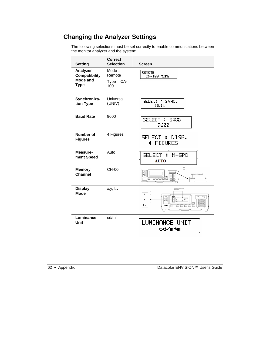## **Changing the Analyzer Settings**

The following selections must be set correctly to enable communications between the monitor analyzer and the system:

| <b>Setting</b>                                              | <b>Correct</b><br><b>Selection</b>        | Screen                                                           |
|-------------------------------------------------------------|-------------------------------------------|------------------------------------------------------------------|
| Analyzer<br><b>Compatibility</b><br>Mode and<br><b>Type</b> | $Mode =$<br>Remote<br>$Type = CA-$<br>100 | <b>REMOTE</b><br>CA-100 MODE                                     |
| Synchroniza-<br>tion Type                                   | Universal<br>(UNIV)                       | SELECT : SYNC.<br>UNIU                                           |
| <b>Baud Rate</b>                                            | 9600                                      | <b>SELECT</b><br><b>BAUD</b><br>H<br>9600                        |
| Number of<br><b>Figures</b>                                 | 4 Figures                                 | SELECT<br>H.<br>DISP.<br>4 FIGURES                               |
| Measure-<br>ment Speed                                      | Auto                                      | $^{(2)}$<br>υ<br><b>SELECT</b><br>÷<br>M-SPD<br>ö<br><b>AUTO</b> |
| <b>Memory</b><br><b>Channel</b>                             | CH-00                                     | Memory channel<br>снее<br>$\mathbb{P}^1_1$                       |
| <b>Display</b><br><b>Mode</b>                               | x,y, Lv                                   | Х<br>У<br>Lv                                                     |
| Luminance<br>Unit                                           | $\text{cd/m}^2$                           | LUMINANCE UNIT<br>cd⁄m*m                                         |

62 • Appendix Datacolor ENVISION™ User's Guide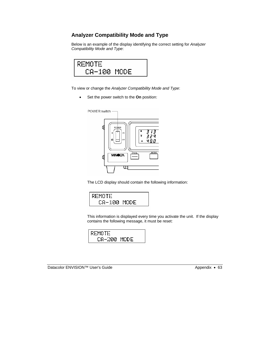### **Analyzer Compatibility Mode and Type**

Below is an example of the display identifying the correct setting for *Analyzer Compatibility Mode and Type*:



To view or change the *Analyzer Compatibility Mode and Type*:

• Set the power switch to the **On** position:



The LCD display should contain the following information:



This information is displayed every time you activate the unit. If the display contains the following message, it must be reset:

| REMOTE      |  |
|-------------|--|
| CA-200 MODE |  |

Datacolor ENVISION™ User's Guide Appendix • 63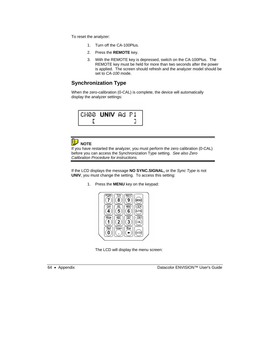To reset the analyzer:

- 1. Turn off the CA-100Plus.
- 2. Press the **REMOTE** key.
- 3. With the REMOTE key is depressed, switch on the CA-100Plus. The REMOTE key must be held for more than two seconds after the power is applied. The screen should refresh and the analyzer model should be set to *CA-100* mode.

#### **Synchronization Type**

When the zero-calibration (0-CAL) is complete, the device will automatically display the analyzer settings:





If you have restarted the analyzer, you must perform the zero calibration (0-CAL) before you can access the Synchronization Type setting. *See also Zero Calibration Procedure for instructions.* 

If the LCD displays the message **NO SYNC.SIGNAL,** or the *Sync Type* is not **UNIV**, you must change the setting. To access this setting:

1. Press the **MENU** key on the keypad:



The LCD will display the menu screen:



64 • Appendix Datacolor ENVISION™ User's Guide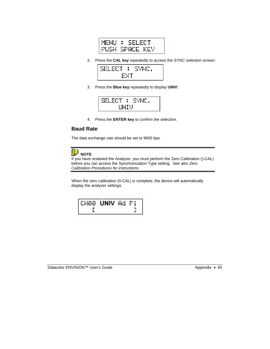| MENU # | SELECT         |  |
|--------|----------------|--|
|        | PUSH SPACE KEY |  |

2. Press the **CAL key** repeatedly to access the *SYNC selection* screen:



3. Press the **Blue key** repeatedly to display **UNIV:** 



4. Press the **ENTER key** to confirm the selection.

#### **Baud Rate**

The data exchange rate should be set to 9600 bps.



If you have restarted the Analyzer, you must perform the Zero Calibration ()-CAL) before you can access the Synchronization Type setting. *See also Zero Calibration Procedures for instructions.* 

When the zero calibration (0-CAL) is complete, the device will automatically display the analyzer settings:

| CH88 <b>UNIV</b> Ad P1 |  |  |
|------------------------|--|--|
|                        |  |  |

Datacolor ENVISION™ User's Guide Appendix • 65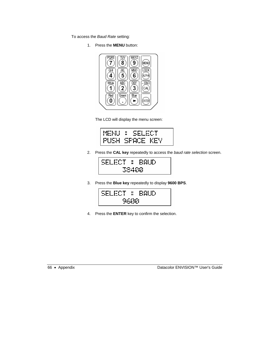To access the *Baud Rate* setting:

1. Press the **MENU** button:



The LCD will display the menu screen:

| MENU : SELECT  |  |
|----------------|--|
| PUSH SPACE KEY |  |

2. Press the **CAL key** repeatedly to access the *baud rate selection* screen.



3. Press the **Blue key** repeatedly to display **9600 BPS**.



4. Press the **ENTER** key to confirm the selection.

66 • Appendix Datacolor ENVISION™ User's Guide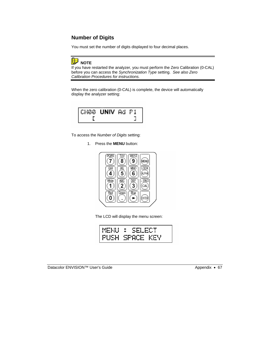### **Number of Digits**

You must set the number of digits displayed to four decimal places.



If you have restarted the analyzer, you must perform the Zero Calibration (0-CAL) before you can access the *Synchronization Type* setting. *See also Zero Calibration Procedures for instructions.* 

When the zero calibration (0-CAL) is complete, the device will automatically display the analyzer setting:

| CH00 <b>UNIV</b> Ad P1 |  |  |
|------------------------|--|--|
|                        |  |  |

To access the *Number of Digits* setting:

1. Press the **MENU** button:



The LCD will display the menu screen:

| MENU : SELECT  |
|----------------|
| PUSH SPACE KEY |

Datacolor ENVISION™ User's Guide Appendix • 67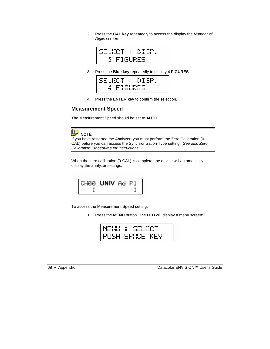2. Press the **CAL key** repeatedly to access the display the *Number of Digits* screen.



3. Press the **Blue key** repeatedly to display **4 FIGURES**.



4. Press the **ENTER key** to confirm the selection.

#### **Measurement Speed**

The Measurement Speed should be set to **AUTO**.



If you have restarted the Analyzer, you must perform the Zero Calibration (0- CAL) before you can access the Synchronization Type setting. *See also Zero Calibration Procedures for instructions.* 

When the zero calibration (0-CAL) is complete, the device will automatically display the analyzer settings:

| CH88 UNIV Ad P1 |  |
|-----------------|--|
|                 |  |

To access the Measurement Speed setting:

1. Press the **MENU** button. The LCD will display a menu screen:

| MENU : SELECT  |  |
|----------------|--|
| PUSH SPACE KEY |  |

68 • Appendix Datacolor ENVISION™ User's Guide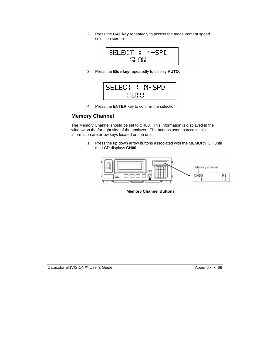2. Press the **CAL key** repeatedly to access the measurement speed selection screen:



3. Press the **Blue key** repeatedly to display **AUTO**:

| SELECT : M-SPD |  |  |
|----------------|--|--|
| AUTO           |  |  |

4. Press the **ENTER** key to confirm the selection.

#### **Memory Channel**

The Memory Channel should be set to **CH00**. This information is displayed in the window on the far right side of the analyzer. The buttons used to access this information are arrow keys located on the unit.

> 1. Press the up down arrow buttons associated with the MEMORY CH until the LCD displays **CH00**.



**Memory Channel Buttons** 

Datacolor ENVISION™ User's Guide Appendix • 69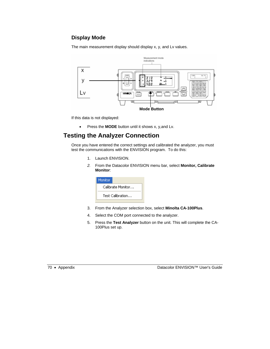## **Display Mode**

The main measurement display should display x, y, and Lv values.



If this data is not displayed:

• Press the **MODE** button until it shows x, y,and Lv.

# **Testing the Analyzer Connection**

Once you have entered the correct settings and calibrated the analyzer, you must test the communications with the ENVISION program. To do this:

- 1. Launch ENVISION.
- *2.* From the Datacolor ENVISION menu bar, select **Monitor, Calibrate Monitor**:



- 3. From the Analyzer selection box, select **Minolta CA-100Plus**.
- 4. Select the COM port connected to the analyzer.
- 5. Press the **Test Analyzer** button on the unit. This will complete the CA-100Plus set up.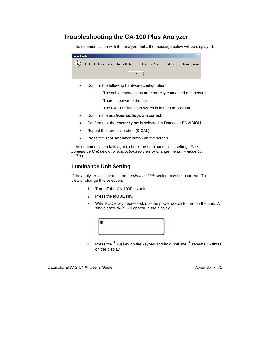# **Troubleshooting the CA-100 Plus Analyzer**

If the communication with the analyzer fails, the message below will be displayed:



- Confirm the following hardware configuration:
	- The cable connections are correctly connected and secure.
	- − There is power to the unit.
	- − The CA-100Plus main switch is in the **On** position.
- Confirm the *analyzer settings* are correct.
- Confirm that the *correct port* is selected in Datacolor ENVISION.
- Repeat the zero calibration (0-CAL).
- Press the **Test Analyzer** button on the screen.

If the communication fails again, check the Luminance Unit setting. *See Luminance Unit below for instructions to view or change the Luminance Unit setting.*

#### **Luminance Unit Setting**

If the analyzer fails the test, the *Luminance Unit* setting may be incorrect. To view or change this selection:

- 1. Turn off the CA-100Plus unit.
- 2. Press the **MODE** key.
- 3. With MODE key depressed, use the power switch to turn on the unit. A single asterisk (\*) will appear in the display:



4. Press the **\* (8)** key on the keypad and hold until the **\*** repeats 16 times on the display: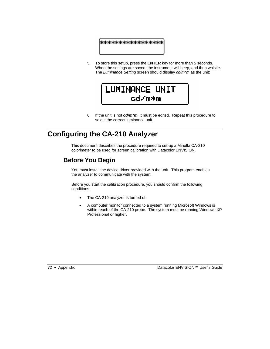## \*\*\*\*\*\*\*\*\*\*\*\*\*\*\*\*\*\*\*

5. To store this setup, press the **ENTER** key for more than 5 seconds. When the settings are saved, the instrument will beep, and then whistle. The *Luminance Setting* screen should display *cd/m\*m* as the unit:



6. If the unit is not *cd/m\*m*, it must be edited. Repeat this procedure to select the correct luminance unit.

# **Configuring the CA-210 Analyzer**

This document describes the procedure required to set-up a Minolta CA-210 colorimeter to be used for screen calibration with Datacolor ENVISION.

# **Before You Begin**

You must install the device driver provided with the unit. This program enables the analyzer to communicate with the system.

Before you start the calibration procedure, you should confirm the following conditions:

- The CA-210 analyzer is turned off
- A computer monitor connected to a system running Microsoft Windows is within reach of the CA-210 probe. The system must be running Windows XP Professional or higher.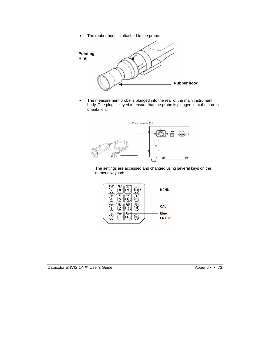• The rubber hood is attached to the probe.



• The measurement probe is plugged into the rear of the main instrument body. The plug is keyed to ensure that the probe is plugged in at the correct orientation.



The settings are accessed and changed using several keys on the numeric keypad:

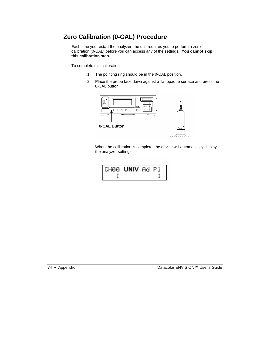# **Zero Calibration (0-CAL) Procedure**

Each time you restart the analyzer, the unit requires you to perform a zero calibration (0-CAL) before you can access any of the settings. **You cannot skip this calibration step.** 

To complete this calibration:

- 1. The pointing ring should be in the 0-CAL position.
- 2. Place the probe face down against a flat opaque surface and press the 0-CAL button.



When the calibration is complete, the device will automatically display the analyzer settings:

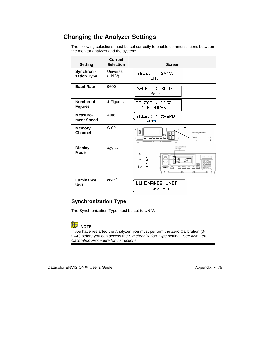# **Changing the Analyzer Settings**

The following selections must be set correctly to enable communications between the monitor analyzer and the system:

| <b>Setting</b>                | <b>Correct</b><br><b>Selection</b> | <b>Screen</b>                                                                            |
|-------------------------------|------------------------------------|------------------------------------------------------------------------------------------|
| Synchroni-<br>zation Type     | Universal<br>(UNIV)                | SELECT :<br>SYNC.<br>UNIV                                                                |
| <b>Baud Rate</b>              | 9600                               | <b>SELECT</b><br><b>BAUD</b><br>H<br>9600                                                |
| Number of<br><b>Figures</b>   | 4 Figures                          | <b>SELECT</b><br>- 8<br>DISP.<br>4 FIGURES                                               |
| Measure-<br>ment Speed        | Auto                               | <b>SELECT</b><br>M-SPD<br>Е<br>ö<br><b>AUTO</b>                                          |
| <b>Memory</b><br>Channel      | $C-00$                             | ى<br>Memory channel<br>$\overline{\phantom{1}}$<br>сное<br>P1<br>ō⊠<br>Т<br>t            |
| <b>Display</b><br><b>Mode</b> | x,y, Lv                            | Measurement mode<br>indications<br>x<br>پ<br>CHI3<br>V<br>$\frac{1}{2}$<br>$\circ$<br>Lv |
| Luminance<br>Unit             | cd/m <sup>2</sup>                  | <b>LUMINANCE UNIT</b><br>cd⁄m*m                                                          |

## **Synchronization Type**

The Synchronization Type must be set to UNIV:

# **NOTE**

If you have restarted the Analyzer, you must perform the Zero Calibration (0- CAL) before you can access the *Synchronization Type* setting. *See also Zero Calibration Procedure for instructions.*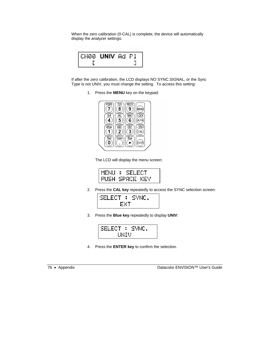When the zero calibration (0-CAL) is complete, the device will automatically display the analyzer settings:

| CH88 UNIV Ad P1 |  |  |
|-----------------|--|--|
|                 |  |  |

If after the zero calibration, the LCD displays NO SYNC.SIGNAL, or the Sync Type is not UNIV, you must change the setting. To access this setting:

1. Press the **MENU** key on the keypad:



The LCD will display the menu screen:

| MENU : SELECT  |  |
|----------------|--|
| PUSH SPACE KEY |  |

2. Press the **CAL key** repeatedly to access the SYNC selection screen:

| SELECT | - 6 - | SYNC. |
|--------|-------|-------|
|        | EXT   |       |

3. Press the **Blue key** repeatedly to display **UNIV**:

| SELECT | - 8 | -SYNC. |
|--------|-----|--------|
| UNIV   |     |        |

4. Press the **ENTER key** to confirm the selection.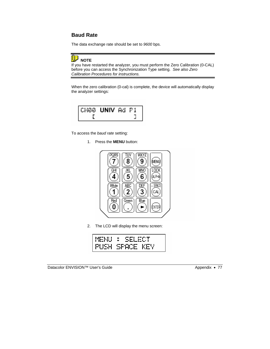## **Baud Rate**

The data exchange rate should be set to *9600* bps.



If you have restarted the analyzer, you must perform the Zero Calibration (0-CAL) before you can access the Synchronization Type setting. *See also Zero Calibration Procedures for instructions.* 

When the zero calibration (0-cal) is complete, the device will automatically display the analyzer settings:

| CH88 <b>UNIV</b> Ad P1 |  |  |
|------------------------|--|--|
|                        |  |  |

To access the *baud rate* setting:

1. Press the **MENU** button:



2. The LCD will display the menu screen:

| MENU | - 8<br>ÆCT<br>. Ser |
|------|---------------------|
|      | PUSH SPACE KEY      |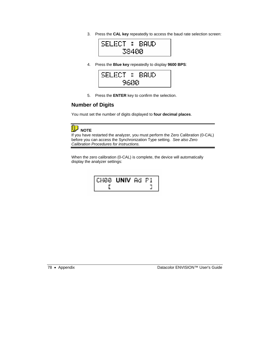3. Press the **CAL key** repeatedly to access the baud rate selection screen:



4. Press the **Blue key** repeatedly to display **9600 BPS**:



5. Press the **ENTER** key to confirm the selection.

#### **Number of Digits**

You must set the number of digits displayed to **four decimal places**.

# **D** NOTE

If you have restarted the analyzer, you must perform the Zero Calibration (0-CAL) before you can access the Synchronization Type setting. *See also Zero Calibration Procedures for instructions.* 

When the zero calibration (0-CAL) is complete, the device will automatically display the analyzer settings:

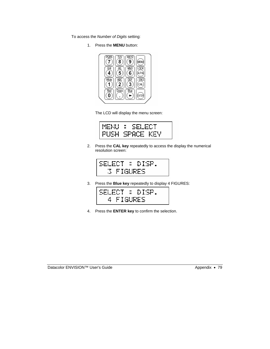To access the *Number of Digits* setting:

1. Press the **MENU** button:



The LCD will display the menu screen:



2. Press the **CAL key** repeatedly to access the display the numerical resolution screen:



3. Press the **Blue key** repeatedly to display 4 FIGURES:

| SELECT : DISP. |  |
|----------------|--|
| 4 FIGURES      |  |

4. Press the **ENTER key** to confirm the selection.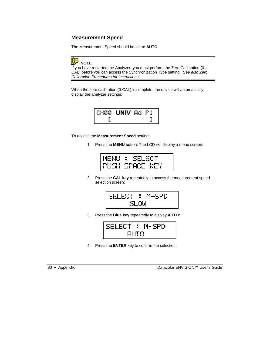## **Measurement Speed**

The Measurement Speed should be set to **AUTO**.



If you have restarted the Analyzer, you must perform the Zero Calibration (0- CAL) before you can access the Synchronization Type setting. *See also Zero Calibration Procedures for instructions.* 

When the zero calibration (0-CAL) is complete, the device will automatically display the analyzer settings:



To access the **Measurement Speed** setting:

1. Press the **MENU** button. The LCD will display a menu screen:



2. Press the **CAL key** repeatedly to access the measurement speed selection screen:

$$
\frac{\text{SELECT}: \text{ M-SPD}}{\text{SLOM}}
$$

3. Press the **Blue key** repeatedly to display **AUTO**:



4. Press the **ENTER** key to confirm the selection.

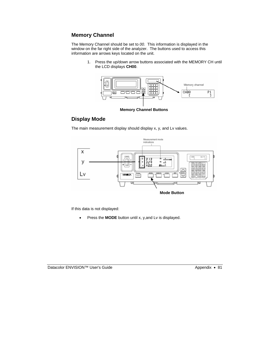## **Memory Channel**

The Memory Channel should be set to *00*. This information is displayed in the window on the far right side of the analyzer. The buttons used to access this information are arrows keys located on the unit.

> 1. Press the up/down arrow buttons associated with the MEMORY CH until the LCD displays **CH00**.





#### **Display Mode**

The main measurement display should display x, y, and Lv values.



If this data is not displayed:

• Press the **MODE** button until x, y,and Lv is displayed.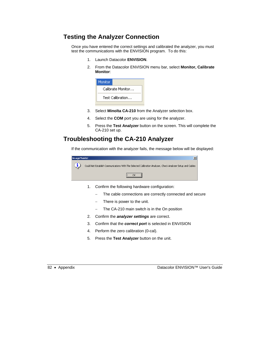# **Testing the Analyzer Connection**

Once you have entered the correct settings and calibrated the analyzer, you must test the communications with the ENVISION program. To do this:

- 1. Launch Datacolor **ENVISION**.
- 2. From the Datacolor ENVISION menu bar, select **Monitor, Calibrate Monitor**:

| Monitor           |  |
|-------------------|--|
| Calibrate Monitor |  |
| Test Calibration  |  |
|                   |  |

- 3. Select **Minolta CA-210** from the Analyzer selection box.
- 4. Select the **COM** port you are using for the analyzer.
- 5. Press the **Test Analyzer** button on the screen. This will complete the CA-210 set up.

# **Troubleshooting the CA-210 Analyzer**

If the communication with the analyzer fails, the message below will be displayed:



- 1. Confirm the following hardware configuration:
	- − The cable connections are correctly connected and secure
	- − There is power to the unit.
	- − The CA-210 main switch is in the On position
- 2. Confirm the *analyzer settings* are correct.
- 3. Confirm that the *correct port* is selected in ENVISION
- 4. Perform the zero calibration (0-cal).
- 5. Press the **Test Analyzer** button on the unit.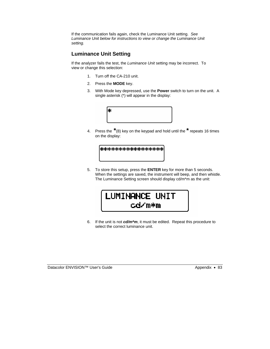If the communication fails again, check the Luminance Unit setting. *See Luminance Unit below for instructions to view or change the Luminance Unit setting.*

#### **Luminance Unit Setting**

If the analyzer fails the test, the *Luminance Unit* setting may be incorrect. To view or change this selection:

- 1. Turn off the CA-210 unit.
- 2. Press the **MODE** key.
- 3. With Mode key depressed, use the **Power** switch to turn on the unit. A single asterisk (\*) will appear in the display:



4. Press the **\***(8) key on the keypad and hold until the **\*** repeats 16 times on the display:

| ***************** |  |
|-------------------|--|
|                   |  |
|                   |  |

5. To store this setup, press the **ENTER** key for more than 5 seconds. When the settings are saved, the instrument will beep, and then whistle. The Luminance Setting screen should display cd/m\*m as the unit:



6. If the unit is not *cd/m\*m*, it must be edited. Repeat this procedure to select the correct luminance unit.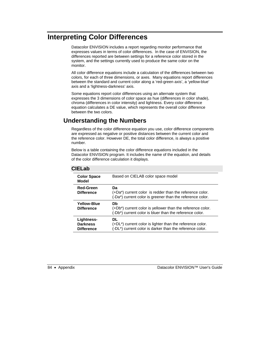# **Interpreting Color Differences**

Datacolor ENVISION includes a report regarding monitor performance that expresses values in terms of color differences. In the case of ENVISION, the differences reported are between settings for a reference color stored in the system, and the settings currently used to produce the same color on the monitor.

All color difference equations include a calculation of the differences between two colors, for each of three dimensions, or axes. Many equations report differences between the standard and current color along a 'red-green axis', a 'yellow-blue' axis and a 'lightness-darkness' axis.

Some equations report color differences using an alternate system that expresses the 3 dimensions of color space as hue (differences in color shade), chroma (differences in color intensity) and lightness. Every color difference equation calculates a DE value, which represents the overall color difference between the two colors.

# **Understanding the Numbers**

Regardless of the color difference equation you use, color difference components are expressed as negative or positive distances between the current color and the reference color. However DE, the total color difference, is always a positive number.

Below is a table containing the color difference equations included in the Datacolor ENVISION program. It includes the name of the equation, and details of the color difference calculation it displays.

#### **CIELab**

| <b>Color Space</b><br>Model                        | Based on CIELAB color space model                                                                                               |
|----------------------------------------------------|---------------------------------------------------------------------------------------------------------------------------------|
| <b>Red-Green</b><br><b>Difference</b>              | Da.<br>(+Da*) current color is redder than the reference color.<br>(-Da*) current color is greener than the reference color.    |
| Yellow-Blue<br><b>Difference</b>                   | Db<br>(+Db*) current color is yellower than the reference color.<br>(-Db*) current color is bluer than the reference color.     |
| Lightness-<br><b>Darkness</b><br><b>Difference</b> | DI.<br>$(+DL^*)$ current color is lighter than the reference color.<br>(-DL*) current color is darker than the reference color. |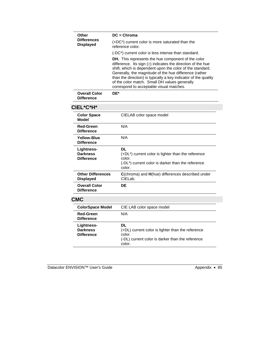|            | Other<br><b>Differences</b><br><b>Displayed</b>    | $DC =$ Chroma                                                                                                                                                                                                                                                                                                                                                                                                       |
|------------|----------------------------------------------------|---------------------------------------------------------------------------------------------------------------------------------------------------------------------------------------------------------------------------------------------------------------------------------------------------------------------------------------------------------------------------------------------------------------------|
|            |                                                    | (+DC*) current color is more saturated than the<br>reference color.                                                                                                                                                                                                                                                                                                                                                 |
|            |                                                    | (-DC*) current color is less intense than standard.                                                                                                                                                                                                                                                                                                                                                                 |
|            |                                                    | <b>DH.</b> This represents the hue component of the color<br>difference. Its sign $(\pm)$ indicates the direction of the hue<br>shift, which is dependent upon the color of the standard.<br>Generally, the magnitude of the hue difference (rather<br>than the direction) is typically a key indicator of the quality<br>of the color match. Small DH values generally<br>correspond to acceptable visual matches. |
|            | <b>Overall Color</b><br><b>Difference</b>          | DE*                                                                                                                                                                                                                                                                                                                                                                                                                 |
| CIEL*C*H*  |                                                    |                                                                                                                                                                                                                                                                                                                                                                                                                     |
|            | <b>Color Space</b><br><b>Model</b>                 | CIELAB color space model                                                                                                                                                                                                                                                                                                                                                                                            |
|            | <b>Red-Green</b><br><b>Difference</b>              | N/A                                                                                                                                                                                                                                                                                                                                                                                                                 |
|            | <b>Yellow-Blue</b><br><b>Difference</b>            | N/A                                                                                                                                                                                                                                                                                                                                                                                                                 |
|            | Lightness-<br><b>Darkness</b><br><b>Difference</b> | <b>DL</b><br>(+DL*) current color is lighter than the reference<br>color.<br>(-DL*) current color is darker than the reference<br>color.                                                                                                                                                                                                                                                                            |
|            | <b>Other Differences</b><br><b>Displayed</b>       | C(chroma) and H(hue) differences described under<br>CIELab.                                                                                                                                                                                                                                                                                                                                                         |
|            | <b>Overall Color</b><br><b>Difference</b>          | DE                                                                                                                                                                                                                                                                                                                                                                                                                  |
| <b>CMC</b> |                                                    |                                                                                                                                                                                                                                                                                                                                                                                                                     |
|            | <b>ColorSpace Model</b>                            | CIE LAB color space model                                                                                                                                                                                                                                                                                                                                                                                           |
|            | <b>Red-Green</b><br><b>Difference</b>              | N/A                                                                                                                                                                                                                                                                                                                                                                                                                 |
|            | Lightness-<br><b>Darkness</b><br><b>Difference</b> | DL<br>(+DL) current color is lighter than the reference<br>color.<br>(-DL) current color is darker than the reference<br>color.                                                                                                                                                                                                                                                                                     |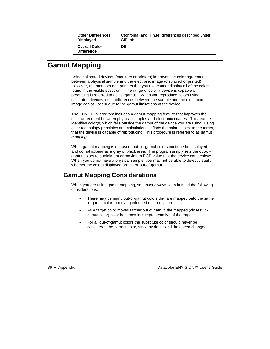| <b>Other Differences</b>                  | <b>C</b> (chroma) and H(hue) differences described under |
|-------------------------------------------|----------------------------------------------------------|
| <b>Displayed</b>                          | CIELab.                                                  |
| <b>Overall Color</b><br><b>Difference</b> | DE                                                       |

# **Gamut Mapping**

Using calibrated devices (monitors or printers) improves the color agreement between a physical sample and the electronic image (displayed or printed). However, the monitors and printers that you use cannot display all of the colors found in the visible spectrum. The range of color a device is capable of producing is referred to as its "gamut". When you reproduce colors using calibrated devices, color differences between the sample and the electronic image can still occur due to the gamut limitations of the device.

The ENVISION program includes a gamut-mapping feature that improves the color agreement between physical samples and electronic images. This feature identifies color(s) which falls outside the gamut of the device you are using. Using color technology principles and calculations, it finds the color closest to the target, that the device is capable of reproducing. This procedure is referred to as gamut *mapping.*

When gamut mapping is not used, out-of -gamut colors continue be displayed, and do not appear as a gray or black area. The program simply sets the out-ofgamut colors to a minimum or maximum RGB value that the device can achieve. When you do not have a physical sample, you may not be able to detect visually whether the colors displayed are in- or out-of-gamut.

# **Gamut Mapping Considerations**

When you are using gamut mapping, you must always keep in mind the following considerations:

- There may be many out-of-gamut colors that are mapped onto the same in-gamut color, removing intended differentiation.
- As a target color moves farther out of gamut, the mapped (closest ingamut color) color becomes less representative of the target.
- For all out-of-gamut colors the substitute color should never be considered the correct color, since by definition it has been changed.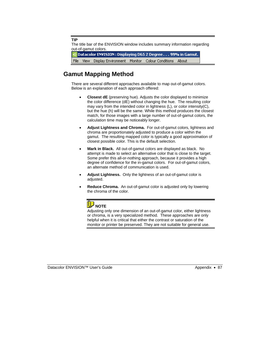**TIP**

The title bar of the ENVISION window includes summary information regarding out-of-gamut colors.

Datacolor ENVISION: Displaying D65 2 Degree... 99% in Gamut. View Display Environment Monitor Colour Conditions About File

# **Gamut Mapping Method**

There are several different approaches available to map out-of-gamut colors. Below is an explanation of each approach offered:

- **Closest dE** (preserving hue). Adjusts the color displayed to minimize the color difference (dE) without changing the hue. The resulting color may vary from the intended color in lightness (L), or color intensity(C), but the hue (h) will be the same. While this method produces the closest match, for those images with a large number of out-of-gamut colors, the calculation time may be noticeably longer.
- **Adjust Lightness and Chroma.** For out-of-gamut colors, lightness and chroma are proportionately adjusted to produce a color within the gamut. The resulting mapped color is typically a good approximation of closest possible color. This is the default selection.
- **Mark in Black.** All out-of-gamut colors are displayed as black. No attempt is made to select an alternative color that is close to the target. Some prefer this all-or-nothing approach, because it provides a high degree of confidence for the in-gamut colors. For out-of-gamut colors, an alternate method of communication is used.
- **Adjust Lightness.** Only the lightness of an out-of-gamut color is adjusted.
- **Reduce Chroma.** An out-of-gamut color is adjusted only by lowering the chroma of the color.



Adjusting only one dimension of an out-of-gamut color, either lightness or chroma, is a very specialized method. These approaches are only helpful when it is critical that either the contrast or saturation of the monitor or printer be preserved. They are not suitable for general use.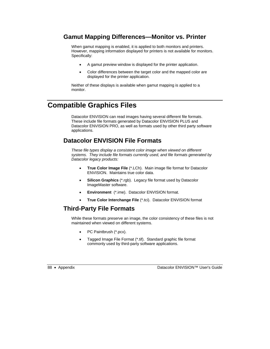# **Gamut Mapping Differences—Monitor vs. Printer**

When gamut mapping is enabled, it is applied to both monitors and printers. However, mapping information displayed for printers is not available for monitors. Specifically:

- A gamut preview window is displayed for the printer application.
- Color differences between the target color and the mapped color are displayed for the printer application.

Neither of these displays is available when gamut mapping is applied to a monitor.

# **Compatible Graphics Files**

Datacolor ENVISION can read images having several different file formats. These include file formats generated by Datacolor ENVISION PLUS and Datacolor ENVISION PRO, as well as formats used by other third party software applications.

# **Datacolor ENVISION File Formats**

*These file types display a consistent color image when viewed on different systems. They include file formats currently used, and file formats generated by Datacolor legacy products:* 

- **True Color Image File** (\*.LCh). Main image file format for Datacolor ENVISION. Maintains true color data.
- **Silicon Graphics** (\*.rgb). Legacy file format used by Datacolor ImageMaster software.
- **Environment** (\*.ime). Datacolor ENVISION format.
- **True Color Interchange File** (\*.tci). Datacolor ENVISION format

# **Third-Party File Formats**

While these formats preserve an image, the color consistency of these files is not maintained when viewed on different systems.

- PC Paintbrush (\*.pcx).
- Tagged Image File Format (\*.tif). Standard graphic file format commonly used by third-party software applications.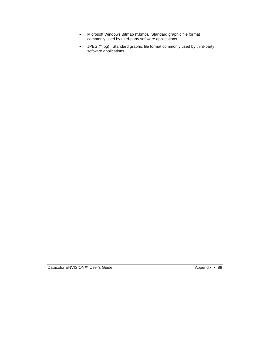- Microsoft Windows Bitmap (\*.bmp). Standard graphic file format commonly used by third-party software applications.
- JPEG (\*.jpg). Standard graphic file format commonly used by third-party software applications.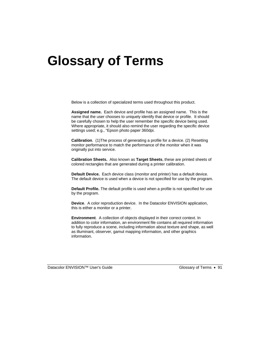# **Glossary of Terms**

Below is a collection of specialized terms used throughout this product.

**Assigned name.** Each device and profile has an assigned name. This is the name that the user chooses to uniquely identify that device or profile. It should be carefully chosen to help the user remember the specific device being used. Where appropriate, it should also remind the user regarding the specific device settings used; e.g., "Epson photo paper 360dpi.

**Calibration**. (1)The process of generating a profile for a device. (2) Resetting monitor performance to match the performance of the monitor when it was originally put into service.

**Calibration Sheets.** Also known as **Target Sheets**, these are printed sheets of colored rectangles that are generated during a printer calibration.

**Default Device.** Each device class (monitor and printer) has a default device. The default device is used when a device is not specified for use by the program.

**Default Profile.** The default profile is used when a profile is not specified for use by the program.

**Device**. A color reproduction device. In the Datacolor ENVISION application, this is either a monitor or a printer.

**Environment**. A collection of objects displayed in their correct context. In addition to color information, an environment file contains all required information to fully reproduce a scene, including information about texture and shape, as well as illuminant, observer, gamut mapping information, and other graphics information.

Datacolor ENVISION™ User's Guide Glossary of Terms • 91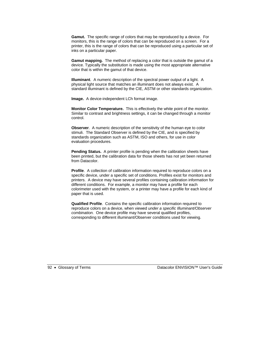**Gamut.** The specific range of colors that may be reproduced by a device. For monitors, this is the range of colors that can be reproduced on a screen. For a printer, this is the range of colors that can be reproduced using a particular set of inks on a particular paper.

**Gamut mapping.** The method of replacing a color that is outside the gamut of a device. Typically the substitution is made using the most appropriate alternative color that is within the gamut of that device.

**Illuminant**. A numeric description of the spectral power output of a light. A physical light source that matches an illuminant does not always exist. A standard illuminant is defined by the CIE, ASTM or other standards organization.

**Image.** A device-independent LCh format image.

**Monitor Color Temperature.** This is effectively the white point of the monitor. Similar to contrast and brightness settings, it can be changed through a monitor control.

**Observer.** A numeric description of the sensitivity of the human eye to color stimuli. The Standard Observer is defined by the CIE, and is specified by standards organization such as ASTM, ISO and others, for use in color evaluation procedures.

**Pending Status.** A printer profile is pending when the calibration sheets have been printed, but the calibration data for those sheets has not yet been returned from Datacolor.

**Profile**. A collection of calibration information required to reproduce colors on a specific device, under a specific set of conditions. Profiles exist for monitors and printers. A device may have several profiles containing calibration information for different conditions. For example, a monitor may have a profile for each colorimeter used with the system, or a printer may have a profile for each kind of paper that is used.

**Qualified Profile**. Contains the specific calibration information required to reproduce colors on a device, when viewed *under a specific Illuminant/Observer combination.* One device profile may have several qualified profiles, corresponding to different illuminant/Observer conditions used for viewing.

92 • Glossary of Terms Datacolor ENVISION™ User's Guide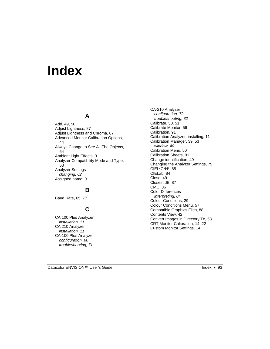# **Index**

#### **A**

Add, 49, 50 Adjust Lightness, 87 Adjust Lightness and Chroma, 87 Advanced Monitor Calibration Options, 44 Always Change to See All The Objects, 54 Ambient Light Effects, 3 Analyzer Compatibility Mode and Type, 63 Analyzer Settings *changing, 62*  Assigned name, 91

#### **B**

Baud Rate, 65, 77

## **C**

CA 100 Plus Analyzer *installation, 11*  CA 210 Analyzer *installation, 11*  CA-100 Plus Analyzer *configuration, 60 troubleshooting, 71* 

CA-210 Analyzer *configuration, 72 troubleshooting, 82*  Calibrate, 50, 51 Calibrate Monitor, 56 Calibration, 91 Calibration Analyzer, installing, 11 Calibration Manager, 39, 53 *window, 40*  Calibration Menu, 50 Calibration Sheets, 91 Change identification, 49 Changing the Analyzer Settings, 75 CIEL\*C\*H\*, 85 CIELab, 84 Close, 49 Closest dE, 87 CMC, 85 Color Differences *interpreting, 84*  Colour Conditions, 29 Colour Conditions Menu, 57 Compatible Graphics Files, 88 Contents View, 42 Convert Images in Directory To, 53 CRT Monitor Calibration, 14, 22 Custom Monitor Settings, 14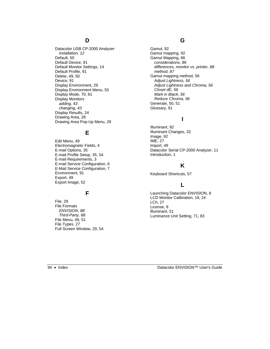#### **D**

Datacolor USB CP-2000 Analyzer *installation, 12*  Default, 50 Default Device, 91 Default Monitor Settings, 14 Default Profile, 91 Delete, 49, 50 Device, 91 Display Environment, 29 Display Environment Menu, 55 Display Mode, 70, 81 Display Monitors *adding, 43 changing, 43*  Display Results, 24 Drawing Area, 28 Drawing Area Pop-Up Menu, 29

#### **E**

Edit Menu, 49 Electromagnetic Fields, 4 E-mail Options, 35 E-mail Profile Setup, 35, 54 E-mail Requirements, 3 E-mail Service Configuration, 6 E-Mail Service Configuration, 7 Environment, 91 Export, 49 Export Image, 52

#### **F**

File, 29 File Formats *ENVISION, 88 Third-Party, 88*  File Menu, 49, 51 File Types, 27 Full Screen Window, 29, 54

#### **G**

Gamut, 92 Gamut mapping, 92 Gamut Mapping, 86 *considerations, 86 differences, monitor vs. printer, 88 method, 87*  Gamut mapping method, 56 *Adjust Lightness, 56 Adjust Lightness and Chroma, 56 Closet dE, 56 Mark in Black, 56 Reduce Chroma, 56*  Generate, 50, 51 Glossary, 91

#### **I**

Illuminant, 92 Illuminant Changes, 32 Image, 92 IME, 27 Import, 49 Datacolor Serial CP-2000 Analyzer, 11 Introduction, 1

### **K**

Keyboard Shortcuts, 57

## **L**

Launching Datacolor ENVISION, 8 LCD Monitor Calibration, 18, 24 LCh, 27 License, 8 llluminant, 51 Luminance Unit Setting, 71, 83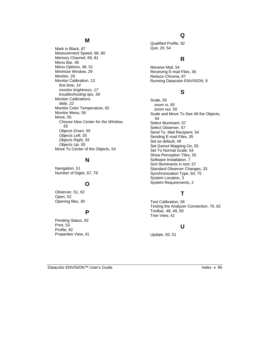#### **M**

Mark in Black, 87 Measurement Speed, 68, 80 Memory Channel, 69, 81 Menu Bar, 48 Menu Options, 48, 51 Minimize Window, 29 Monitor, 29 Monitor Calibration, 13 *first time, 14 monitor brightness, 17 troubleshooting tips, 59*  Monitor Calibrations *daily, 22*  Monitor Color Temperature, 92 Monitor Menu, 56 Move, 55 *Choose New Center for the Window, 55 Objects Down, 55 Objects Left, 55 Objects Right, 55 Objects Up, 55*  Move To Center of the Objects, 54

#### **N**

Navigation, 51 Number of Digits, 67, 78

#### **O**

Observer, 51, 92 Open, 52 Opening files, 30

#### **P**

Pending Status, 92 Print, 53 Profile, 92 Properties View, 41

#### **Q**

Qualified Profile, 92 Quit, 29, 54

#### **R**

Receive Mail, 54 Receiving E-mail Files, 36 Reduce Chroma, 87 Running Datacolor ENVISION, 9

#### **S**

Scale, 55 *zoom in, 55 zoom out, 55*  Scale and Move To See All the Objects, 54 Select Illuminant, 57 Select Observer, 57 Send To, Mail Recipient, 54 Sending E-mail Files, 35 Set as default, 49 Set Gamut Mapping On, 55 Set To Normal Scale, 54 Show Perception Tiles, 55 Software Installation, 7 Sort Illuminants in tool, 57 Standard Observer Changes, 33 Synchronization Type, 64, 75 System Location, 3 System Requirements, 2

## **T**

Test Calibration, 56 Testing the Analyzer Connection, 70, 82 Toolbar, 48, 49, 50 Tree View, 41

#### **U**

Update, 50, 51